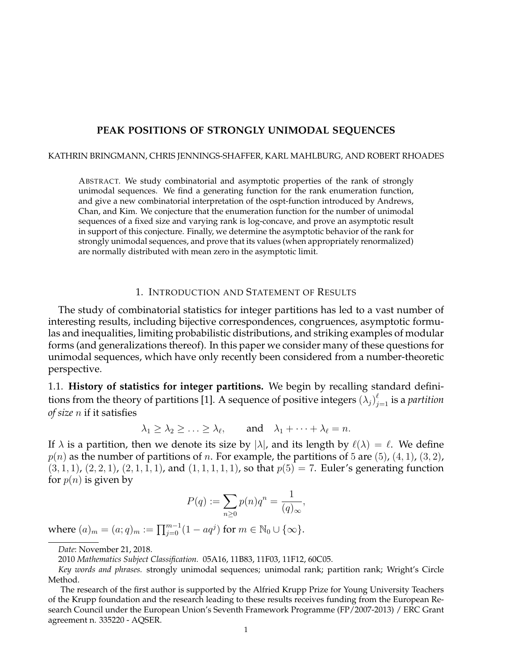## **PEAK POSITIONS OF STRONGLY UNIMODAL SEQUENCES**

#### KATHRIN BRINGMANN, CHRIS JENNINGS-SHAFFER, KARL MAHLBURG, AND ROBERT RHOADES

ABSTRACT. We study combinatorial and asymptotic properties of the rank of strongly unimodal sequences. We find a generating function for the rank enumeration function, and give a new combinatorial interpretation of the ospt-function introduced by Andrews, Chan, and Kim. We conjecture that the enumeration function for the number of unimodal sequences of a fixed size and varying rank is log-concave, and prove an asymptotic result in support of this conjecture. Finally, we determine the asymptotic behavior of the rank for strongly unimodal sequences, and prove that its values (when appropriately renormalized) are normally distributed with mean zero in the asymptotic limit.

## 1. INTRODUCTION AND STATEMENT OF RESULTS

The study of combinatorial statistics for integer partitions has led to a vast number of interesting results, including bijective correspondences, congruences, asymptotic formulas and inequalities, limiting probabilistic distributions, and striking examples of modular forms (and generalizations thereof). In this paper we consider many of these questions for unimodal sequences, which have only recently been considered from a number-theoretic perspective.

1.1. **History of statistics for integer partitions.** We begin by recalling standard definitions from the theory of partitions [1]. A sequence of positive integers  $(\lambda_j)_{j=1}^{\ell}$  is a *partition of size* n if it satisfies

 $\lambda_1 \geq \lambda_2 \geq \ldots \geq \lambda_\ell$ , and  $\lambda_1 + \cdots + \lambda_\ell = n$ .

If  $\lambda$  is a partition, then we denote its size by  $|\lambda|$ , and its length by  $\ell(\lambda) = \ell$ . We define  $p(n)$  as the number of partitions of n. For example, the partitions of 5 are (5), (4, 1), (3, 2),  $(3, 1, 1)$ ,  $(2, 2, 1)$ ,  $(2, 1, 1, 1)$ , and  $(1, 1, 1, 1, 1)$ , so that  $p(5) = 7$ . Euler's generating function for  $p(n)$  is given by

$$
P(q) := \sum_{n\geq 0} p(n)q^n = \frac{1}{(q)_{\infty}},
$$

where  $(a)_m = (a;q)_m := \prod_{j=0}^{m-1} (1 - aq^j)$  for  $m \in \mathbb{N}_0 \cup \{\infty\}$ .

*Date*: November 21, 2018.

<sup>2010</sup> *Mathematics Subject Classification.* 05A16, 11B83, 11F03, 11F12, 60C05.

*Key words and phrases.* strongly unimodal sequences; unimodal rank; partition rank; Wright's Circle Method.

The research of the first author is supported by the Alfried Krupp Prize for Young University Teachers of the Krupp foundation and the research leading to these results receives funding from the European Research Council under the European Union's Seventh Framework Programme (FP/2007-2013) / ERC Grant agreement n. 335220 - AQSER.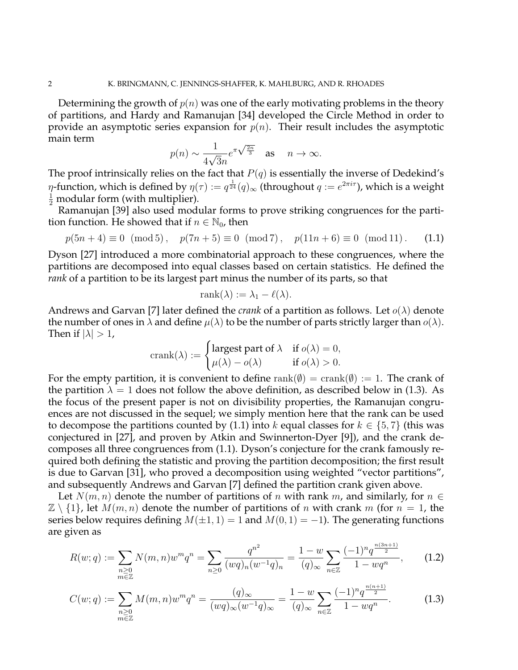Determining the growth of  $p(n)$  was one of the early motivating problems in the theory of partitions, and Hardy and Ramanujan [34] developed the Circle Method in order to provide an asymptotic series expansion for  $p(n)$ . Their result includes the asymptotic main term √2<sup>n</sup>

$$
p(n) \sim \frac{1}{4\sqrt{3n}} e^{\pi \sqrt{\frac{2n}{3}}}
$$
 as  $n \to \infty$ .

The proof intrinsically relies on the fact that  $P(q)$  is essentially the inverse of Dedekind's  $\eta$ -function, which is defined by  $\eta(\tau):=q^{\frac{1}{24}}(q)_\infty$  (throughout  $q:=e^{2\pi i \tau}$ ), which is a weight  $\frac{1}{2}$  modular form (with multiplier).

Ramanujan [39] also used modular forms to prove striking congruences for the partition function. He showed that if  $n \in \mathbb{N}_0$ , then

$$
p(5n+4) \equiv 0 \pmod{5}
$$
,  $p(7n+5) \equiv 0 \pmod{7}$ ,  $p(11n+6) \equiv 0 \pmod{11}$ . (1.1)

Dyson [27] introduced a more combinatorial approach to these congruences, where the partitions are decomposed into equal classes based on certain statistics. He defined the *rank* of a partition to be its largest part minus the number of its parts, so that

$$
rank(\lambda) := \lambda_1 - \ell(\lambda).
$$

Andrews and Garvan [7] later defined the *crank* of a partition as follows. Let  $o(\lambda)$  denote the number of ones in  $\lambda$  and define  $\mu(\lambda)$  to be the number of parts strictly larger than  $o(\lambda)$ . Then if  $|\lambda| > 1$ ,

$$
crank(\lambda) := \begin{cases} \text{largest part of } \lambda & \text{if } o(\lambda) = 0, \\ \mu(\lambda) - o(\lambda) & \text{if } o(\lambda) > 0. \end{cases}
$$

For the empty partition, it is convenient to define rank( $\emptyset$ ) = crank( $\emptyset$ ) := 1. The crank of the partition  $\lambda = 1$  does not follow the above definition, as described below in (1.3). As the focus of the present paper is not on divisibility properties, the Ramanujan congruences are not discussed in the sequel; we simply mention here that the rank can be used to decompose the partitions counted by (1.1) into k equal classes for  $k \in \{5, 7\}$  (this was conjectured in [27], and proven by Atkin and Swinnerton-Dyer [9]), and the crank decomposes all three congruences from (1.1). Dyson's conjecture for the crank famously required both defining the statistic and proving the partition decomposition; the first result is due to Garvan [31], who proved a decomposition using weighted "vector partitions", and subsequently Andrews and Garvan [7] defined the partition crank given above.

Let  $N(m, n)$  denote the number of partitions of n with rank m, and similarly, for  $n \in$  $\mathbb{Z} \setminus \{1\}$ , let  $M(m, n)$  denote the number of partitions of n with crank m (for  $n = 1$ , the series below requires defining  $M(\pm 1, 1) = 1$  and  $M(0, 1) = -1$ ). The generating functions are given as

$$
R(w;q) := \sum_{\substack{n\geq 0\\ m\in \mathbb{Z}}} N(m,n)w^m q^n = \sum_{n\geq 0} \frac{q^{n^2}}{(wq)_n (w^{-1}q)_n} = \frac{1-w}{(q)_{\infty}} \sum_{n\in \mathbb{Z}} \frac{(-1)^n q^{\frac{n(3n+1)}{2}}}{1-wq^n},\qquad(1.2)
$$

 $(9 - 1)$ 1)

$$
C(w;q) := \sum_{\substack{n\geq 0\\ m\in \mathbb{Z}}} M(m,n)w^m q^n = \frac{(q)_{\infty}}{(wq)_{\infty}(w^{-1}q)_{\infty}} = \frac{1-w}{(q)_{\infty}} \sum_{n\in \mathbb{Z}} \frac{(-1)^n q^{\frac{n(n+1)}{2}}}{1-wq^n}.
$$
 (1.3)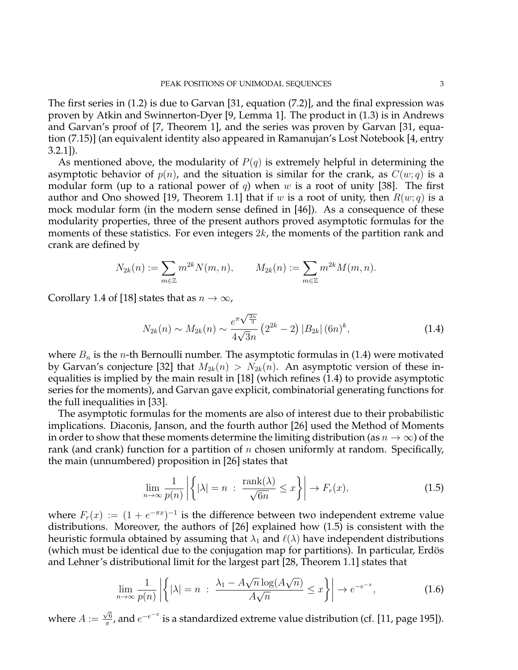The first series in (1.2) is due to Garvan [31, equation (7.2)], and the final expression was proven by Atkin and Swinnerton-Dyer [9, Lemma 1]. The product in (1.3) is in Andrews and Garvan's proof of [7, Theorem 1], and the series was proven by Garvan [31, equation (7.15)] (an equivalent identity also appeared in Ramanujan's Lost Notebook [4, entry 3.2.1]).

As mentioned above, the modularity of  $P(q)$  is extremely helpful in determining the asymptotic behavior of  $p(n)$ , and the situation is similar for the crank, as  $C(w; q)$  is a modular form (up to a rational power of q) when w is a root of unity [38]. The first author and Ono showed [19, Theorem 1.1] that if w is a root of unity, then  $R(w; q)$  is a mock modular form (in the modern sense defined in [46]). As a consequence of these modularity properties, three of the present authors proved asymptotic formulas for the moments of these statistics. For even integers  $2k$ , the moments of the partition rank and crank are defined by

$$
N_{2k}(n) := \sum_{m \in \mathbb{Z}} m^{2k} N(m, n), \qquad M_{2k}(n) := \sum_{m \in \mathbb{Z}} m^{2k} M(m, n).
$$

Corollary 1.4 of [18] states that as  $n \to \infty$ ,

$$
N_{2k}(n) \sim M_{2k}(n) \sim \frac{e^{\pi\sqrt{\frac{2n}{3}}}}{4\sqrt{3n}} \left(2^{2k} - 2\right) |B_{2k}| \left(6n\right)^k, \tag{1.4}
$$

where  $B_n$  is the *n*-th Bernoulli number. The asymptotic formulas in (1.4) were motivated by Garvan's conjecture [32] that  $M_{2k}(n) > N_{2k}(n)$ . An asymptotic version of these inequalities is implied by the main result in [18] (which refines (1.4) to provide asymptotic series for the moments), and Garvan gave explicit, combinatorial generating functions for the full inequalities in [33].

The asymptotic formulas for the moments are also of interest due to their probabilistic implications. Diaconis, Janson, and the fourth author [26] used the Method of Moments in order to show that these moments determine the limiting distribution (as  $n \to \infty$ ) of the rank (and crank) function for a partition of  $n$  chosen uniformly at random. Specifically, the main (unnumbered) proposition in [26] states that

$$
\lim_{n \to \infty} \frac{1}{p(n)} \left| \left\{ |\lambda| = n \; : \; \frac{\text{rank}(\lambda)}{\sqrt{6n}} \le x \right\} \right| \to F_r(x),\tag{1.5}
$$

where  $F_r(x) := (1 + e^{-\pi x})^{-1}$  is the difference between two independent extreme value distributions. Moreover, the authors of [26] explained how (1.5) is consistent with the heuristic formula obtained by assuming that  $\lambda_1$  and  $\ell(\lambda)$  have independent distributions (which must be identical due to the conjugation map for partitions). In particular, Erdös and Lehner's distributional limit for the largest part [28, Theorem 1.1] states that

$$
\lim_{n \to \infty} \frac{1}{p(n)} \left| \left\{ |\lambda| = n \; : \; \frac{\lambda_1 - A\sqrt{n} \log(A\sqrt{n})}{A\sqrt{n}} \le x \right\} \right| \to e^{-e^{-x}},\tag{1.6}
$$

where  $A :=$ √ 6  $\frac{\sqrt{6}}{\pi}$ , and  $e^{-e^{-x}}$  is a standardized extreme value distribution (cf. [11, page 195]).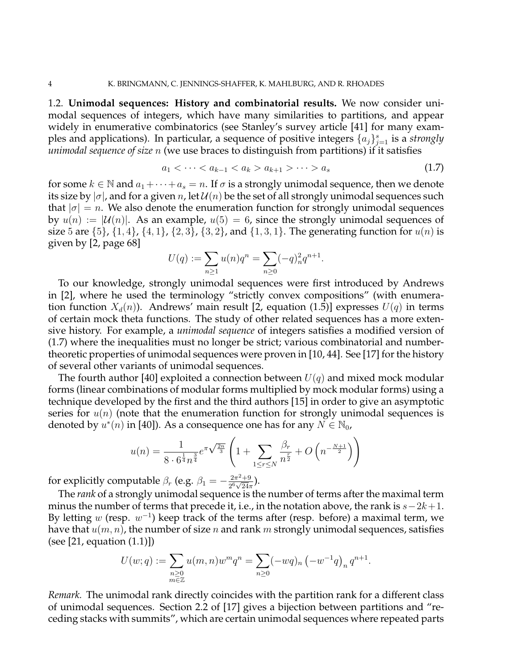1.2. **Unimodal sequences: History and combinatorial results.** We now consider unimodal sequences of integers, which have many similarities to partitions, and appear widely in enumerative combinatorics (see Stanley's survey article [41] for many examples and applications). In particular, a sequence of positive integers  $\{a_j\}_{j=1}^s$  is a *strongly unimodal sequence of size* n (we use braces to distinguish from partitions) if it satisfies

$$
a_1 < \dots < a_{k-1} < a_k > a_{k+1} > \dots > a_s \tag{1.7}
$$

for some  $k \in \mathbb{N}$  and  $a_1 + \cdots + a_s = n$ . If  $\sigma$  is a strongly unimodal sequence, then we denote its size by  $|\sigma|$ , and for a given n, let  $\mathcal{U}(n)$  be the set of all strongly unimodal sequences such that  $|\sigma|=n$ . We also denote the enumeration function for strongly unimodal sequences by  $u(n) := |\mathcal{U}(n)|$ . As an example,  $u(5) = 6$ , since the strongly unimodal sequences of size 5 are  $\{5\}$ ,  $\{1, 4\}$ ,  $\{4, 1\}$ ,  $\{2, 3\}$ ,  $\{3, 2\}$ , and  $\{1, 3, 1\}$ . The generating function for  $u(n)$  is given by [2, page 68]

$$
U(q) := \sum_{n \ge 1} u(n)q^n = \sum_{n \ge 0} (-q)_n^2 q^{n+1}.
$$

To our knowledge, strongly unimodal sequences were first introduced by Andrews in [2], where he used the terminology "strictly convex compositions" (with enumeration function  $X_d(n)$ ). Andrews' main result [2, equation (1.5)] expresses  $U(q)$  in terms of certain mock theta functions. The study of other related sequences has a more extensive history. For example, a *unimodal sequence* of integers satisfies a modified version of (1.7) where the inequalities must no longer be strict; various combinatorial and numbertheoretic properties of unimodal sequences were proven in [10, 44]. See [17] for the history of several other variants of unimodal sequences.

The fourth author [40] exploited a connection between  $U(q)$  and mixed mock modular forms (linear combinations of modular forms multiplied by mock modular forms) using a technique developed by the first and the third authors [15] in order to give an asymptotic series for  $u(n)$  (note that the enumeration function for strongly unimodal sequences is denoted by  $u^*(n)$  in [40]). As a consequence one has for any  $N \in \mathbb{N}_0$ ,

$$
u(n) = \frac{1}{8 \cdot 6^{\frac{1}{4}} n^{\frac{3}{4}}} e^{\pi \sqrt{\frac{2n}{3}}} \left( 1 + \sum_{1 \le r \le N} \frac{\beta_r}{n^{\frac{r}{2}}} + O\left(n^{-\frac{N+1}{2}}\right) \right)
$$

for explicitly computable  $\beta_r$  (e.g.  $\beta_1 = -\frac{2\pi^2 + 9}{26\sqrt{24}}$  $\frac{2\pi^2+9}{2^6\sqrt{24}\pi}$ ).

The *rank* of a strongly unimodal sequence is the number of terms after the maximal term minus the number of terms that precede it, i.e., in the notation above, the rank is  $s-2k+1$ . By letting  $w$  (resp.  $w^{-1}$ ) keep track of the terms after (resp. before) a maximal term, we have that  $u(m, n)$ , the number of size n and rank m strongly unimodal sequences, satisfies (see [21, equation (1.1)])

$$
U(w;q) := \sum_{\substack{n \geq 0 \\ m \in \mathbb{Z}}} u(m,n)w^m q^n = \sum_{n \geq 0} (-wq)_n \left( -w^{-1}q \right)_n q^{n+1}.
$$

*Remark.* The unimodal rank directly coincides with the partition rank for a different class of unimodal sequences. Section 2.2 of [17] gives a bijection between partitions and "receding stacks with summits", which are certain unimodal sequences where repeated parts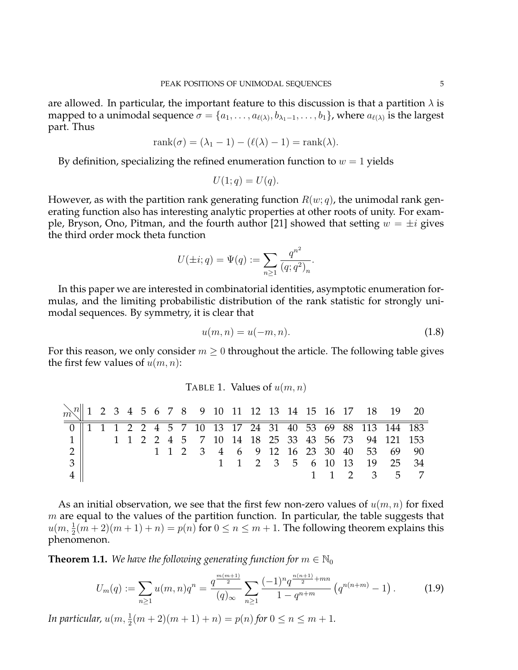are allowed. In particular, the important feature to this discussion is that a partition  $\lambda$  is mapped to a unimodal sequence  $\sigma=\{a_1,\ldots,a_{\ell(\lambda)},b_{\lambda_1-1},\ldots,b_1\}$ , where  $a_{\ell(\lambda)}$  is the largest part. Thus

$$
rank(\sigma) = (\lambda_1 - 1) - (\ell(\lambda) - 1) = rank(\lambda).
$$

By definition, specializing the refined enumeration function to  $w = 1$  yields

$$
U(1;q) = U(q).
$$

However, as with the partition rank generating function  $R(w; q)$ , the unimodal rank generating function also has interesting analytic properties at other roots of unity. For example, Bryson, Ono, Pitman, and the fourth author [21] showed that setting  $w = \pm i$  gives the third order mock theta function

$$
U(\pm i; q) = \Psi(q) := \sum_{n \ge 1} \frac{q^{n^2}}{(q; q^2)_n}.
$$

In this paper we are interested in combinatorial identities, asymptotic enumeration formulas, and the limiting probabilistic distribution of the rank statistic for strongly unimodal sequences. By symmetry, it is clear that

$$
u(m,n) = u(-m,n).
$$
 (1.8)

For this reason, we only consider  $m \geq 0$  throughout the article. The following table gives the first few values of  $u(m, n)$ :

|  | TABLE 1. Values of $u(m, n)$ |  |
|--|------------------------------|--|
|--|------------------------------|--|

|                |  |  |  |  |  |  |  |  |                                                            | $\frac{1}{m}$ 1 2 3 4 5 6 7 8 9 10 11 12 13 14 15 16 17 18 19 20 |
|----------------|--|--|--|--|--|--|--|--|------------------------------------------------------------|------------------------------------------------------------------|
|                |  |  |  |  |  |  |  |  | 0   1 1 1 2 2 4 5 7 10 13 17 24 31 40 53 69 88 113 144 183 |                                                                  |
| $1 \parallel$  |  |  |  |  |  |  |  |  | 1 1 2 2 4 5 7 10 14 18 25 33 43 56 73 94 121 153           |                                                                  |
| $2 \parallel$  |  |  |  |  |  |  |  |  | 1 1 2 3 4 6 9 12 16 23 30 40 53 69 90                      |                                                                  |
| 3 <sup>1</sup> |  |  |  |  |  |  |  |  | 1 1 2 3 5 6 10 13 19 25 34                                 |                                                                  |
|                |  |  |  |  |  |  |  |  |                                                            | 1 1 2 3 5 7                                                      |

As an initial observation, we see that the first few non-zero values of  $u(m, n)$  for fixed  $m$  are equal to the values of the partition function. In particular, the table suggests that  $u(m, \frac{1}{2}(m+2)(m+1) + n) = p(n)$  for  $0 \le n \le m+1$ . The following theorem explains this phenomenon.

**Theorem 1.1.** We have the following generating function for  $m \in \mathbb{N}_0$ 

$$
U_m(q) := \sum_{n\geq 1} u(m,n)q^n = \frac{q^{\frac{m(m+1)}{2}}}{(q)_{\infty}} \sum_{n\geq 1} \frac{(-1)^n q^{\frac{n(n+1)}{2}+mn}}{1-q^{n+m}} \left(q^{n(n+m)}-1\right). \tag{1.9}
$$

*In particular,*  $u(m, \frac{1}{2}(m+2)(m+1) + n) = p(n)$  *for*  $0 \le n \le m + 1$ *.*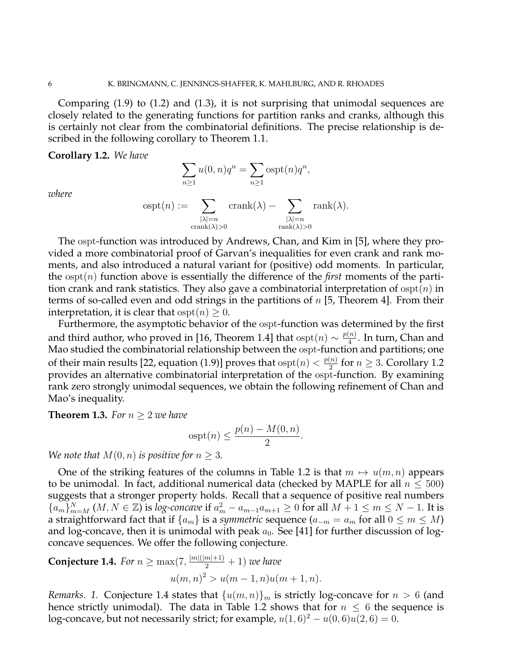Comparing (1.9) to (1.2) and (1.3), it is not surprising that unimodal sequences are closely related to the generating functions for partition ranks and cranks, although this is certainly not clear from the combinatorial definitions. The precise relationship is described in the following corollary to Theorem 1.1.

**Corollary 1.2.** *We have*

$$
\sum_{n\geq 1} u(0,n)q^n = \sum_{n\geq 1} \text{ospt}(n)q^n,
$$

*where*

$$
ospt(n) := \sum_{\substack{|\lambda|=n \\ \operatorname{crank}(\lambda)>0}} \operatorname{crank}(\lambda) - \sum_{\substack{|\lambda|=n \\ \operatorname{rank}(\lambda)>0}} \operatorname{rank}(\lambda).
$$

The ospt-function was introduced by Andrews, Chan, and Kim in [5], where they provided a more combinatorial proof of Garvan's inequalities for even crank and rank moments, and also introduced a natural variant for (positive) odd moments. In particular, the ospt(n) function above is essentially the difference of the *first* moments of the partition crank and rank statistics. They also gave a combinatorial interpretation of  $\text{ospt}(n)$  in terms of so-called even and odd strings in the partitions of  $n$  [5, Theorem 4]. From their interpretation, it is clear that  $\mathrm{ospt}(n) \geq 0$ .

Furthermore, the asymptotic behavior of the ospt-function was determined by the first and third author, who proved in [16, Theorem 1.4] that  $\mathrm{ospt}(n)\sim \frac{p(n)}{4}$  $\frac{n}{4}$ . In turn, Chan and Mao studied the combinatorial relationship between the ospt-function and partitions; one of their main results [22, equation (1.9)] proves that  $\text{ospt}(n) < \frac{p(n)}{2}$  $\frac{(n)}{2}$  for  $n \geq 3$ . Corollary 1.2 provides an alternative combinatorial interpretation of the ospt-function. By examining rank zero strongly unimodal sequences, we obtain the following refinement of Chan and Mao's inequality.

**Theorem 1.3.** For  $n > 2$  *we have* 

$$
ospt(n) \le \frac{p(n) - M(0, n)}{2}.
$$

*We note that*  $M(0, n)$  *is positive for*  $n \geq 3$ *.* 

One of the striking features of the columns in Table 1.2 is that  $m \mapsto u(m, n)$  appears to be unimodal. In fact, additional numerical data (checked by MAPLE for all  $n \leq 500$ ) suggests that a stronger property holds. Recall that a sequence of positive real numbers  ${a_{m}}_{m=M}^{N}$   $(M, N \in \mathbb{Z})$  is *log-concave* if  $a_{m}^{2} - a_{m-1}a_{m+1} \geq 0$  for all  $M + 1 \leq m \leq N - 1$ . It is a straightforward fact that if  $\{a_m\}$  is a *symmetric* sequence  $(a_{-m} = a_m$  for all  $0 \le m \le M$ ) and log-concave, then it is unimodal with peak  $a_0$ . See [41] for further discussion of logconcave sequences. We offer the following conjecture.

**Conjecture 1.4.** *For*  $n \ge \max(7, \frac{|m|(|m|+1)}{2} + 1)$  *we have*  $u(m, n)^2 > u(m-1, n)u(m+1, n).$ 

*Remarks.* 1. Conjecture 1.4 states that  $\{u(m,n)\}_m$  is strictly log-concave for  $n > 6$  (and hence strictly unimodal). The data in Table 1.2 shows that for  $n \leq 6$  the sequence is log-concave, but not necessarily strict; for example,  $u(1,6)^2 - u(0,6)u(2,6) = 0$ .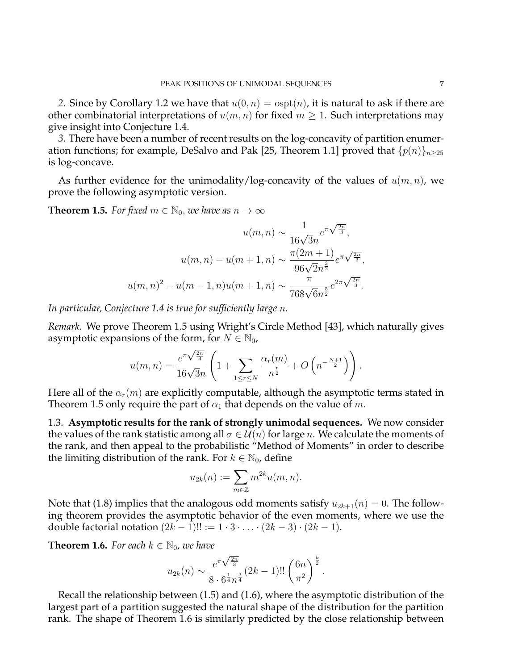2. Since by Corollary 1.2 we have that  $u(0, n) = \text{ospt}(n)$ , it is natural to ask if there are other combinatorial interpretations of  $u(m, n)$  for fixed  $m \geq 1$ . Such interpretations may give insight into Conjecture 1.4.

*3.* There have been a number of recent results on the log-concavity of partition enumeration functions; for example, DeSalvo and Pak [25, Theorem 1.1] proved that  $\{p(n)\}_{n\geq 25}$ is log-concave.

As further evidence for the unimodality/log-concavity of the values of  $u(m, n)$ , we prove the following asymptotic version.

**Theorem 1.5.** *For fixed*  $m \in \mathbb{N}_0$ , *we have as*  $n \to \infty$ 

$$
u(m,n) \sim \frac{1}{16\sqrt{3}n} e^{\pi \sqrt{\frac{2n}{3}}},
$$

$$
u(m,n) - u(m+1,n) \sim \frac{\pi (2m+1)}{96\sqrt{2}n^{\frac{3}{2}}} e^{\pi \sqrt{\frac{2n}{3}}},
$$

$$
u(m,n)^2 - u(m-1,n)u(m+1,n) \sim \frac{\pi}{768\sqrt{6}n^{\frac{5}{2}}} e^{2\pi \sqrt{\frac{2n}{3}}}.
$$

*In particular, Conjecture 1.4 is true for sufficiently large* n*.*

*Remark.* We prove Theorem 1.5 using Wright's Circle Method [43], which naturally gives asymptotic expansions of the form, for  $N \in \mathbb{N}_0$ ,

$$
u(m,n) = \frac{e^{\pi\sqrt{\frac{2n}{3}}}}{16\sqrt{3n}} \left(1 + \sum_{1 \leq r \leq N} \frac{\alpha_r(m)}{n^{\frac{r}{2}}} + O\left(n^{-\frac{N+1}{2}}\right)\right).
$$

Here all of the  $\alpha_r(m)$  are explicitly computable, although the asymptotic terms stated in Theorem 1.5 only require the part of  $\alpha_1$  that depends on the value of m.

1.3. **Asymptotic results for the rank of strongly unimodal sequences.** We now consider the values of the rank statistic among all  $\sigma \in \mathcal{U}(n)$  for large n. We calculate the moments of the rank, and then appeal to the probabilistic "Method of Moments" in order to describe the limiting distribution of the rank. For  $k \in \mathbb{N}_0$ , define

$$
u_{2k}(n) := \sum_{m \in \mathbb{Z}} m^{2k} u(m, n).
$$

Note that (1.8) implies that the analogous odd moments satisfy  $u_{2k+1}(n) = 0$ . The following theorem provides the asymptotic behavior of the even moments, where we use the double factorial notation  $(2k-1)!! := 1 \cdot 3 \cdot \ldots \cdot (2k-3) \cdot (2k-1)$ .

**Theorem 1.6.** *For each*  $k \in \mathbb{N}_0$ , *we have* 

$$
u_{2k}(n) \sim \frac{e^{\pi\sqrt{\frac{2n}{3}}}}{8 \cdot 6^{\frac{1}{4}}n^{\frac{3}{4}}}(2k-1)!! \left(\frac{6n}{\pi^2}\right)^{\frac{k}{2}}.
$$

Recall the relationship between (1.5) and (1.6), where the asymptotic distribution of the largest part of a partition suggested the natural shape of the distribution for the partition rank. The shape of Theorem 1.6 is similarly predicted by the close relationship between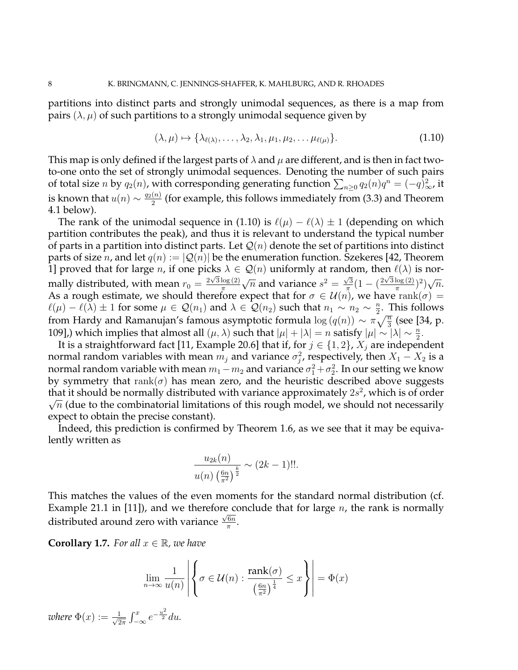partitions into distinct parts and strongly unimodal sequences, as there is a map from pairs  $(\lambda, \mu)$  of such partitions to a strongly unimodal sequence given by

$$
(\lambda, \mu) \mapsto \{\lambda_{\ell(\lambda)}, \dots, \lambda_2, \lambda_1, \mu_1, \mu_2, \dots, \mu_{\ell(\mu)}\}.
$$
\n(1.10)

This map is only defined if the largest parts of  $\lambda$  and  $\mu$  are different, and is then in fact twoto-one onto the set of strongly unimodal sequences. Denoting the number of such pairs of total size n by  $q_2(n)$ , with corresponding generating function  $\sum_{n\geq 0} q_2(n)q^n = (-q)_{\infty}^2$ , it is known that  $u(n) \sim \frac{q_2(n)}{2}$  $\frac{2^{(n)}}{2}$  (for example, this follows immediately from (3.3) and Theorem 4.1 below).

The rank of the unimodal sequence in (1.10) is  $\ell(\mu) - \ell(\lambda) \pm 1$  (depending on which partition contributes the peak), and thus it is relevant to understand the typical number of parts in a partition into distinct parts. Let  $\mathcal{Q}(n)$  denote the set of partitions into distinct parts of size *n*, and let  $q(n) := |Q(n)|$  be the enumeration function. Szekeres [42, Theorem 1] proved that for large *n*, if one picks  $\lambda \in \mathcal{Q}(n)$  uniformly at random, then  $\ell(\lambda)$  is normally distributed, with mean  $r_0 = \frac{2\sqrt{3}\log(2)}{\pi}$ π √  $\overline{n}$  and variance  $s^2 = \frac{\sqrt{3}}{\pi}$  $\frac{\sqrt{3}}{\pi} (1 - (\frac{2\sqrt{3}\log(2)}{\pi})$  $\frac{\log(2)}{\pi}$ )<sup>2</sup>) √  $\overline{n}$ . As a rough estimate, we should therefore expect that for  $\sigma \in \mathcal{U}(n)$ , we have  $\text{rank}(\sigma) =$  $\ell(\mu) - \ell(\lambda) \pm 1$  for some  $\mu \in \mathcal{Q}(n_1)$  and  $\lambda \in \mathcal{Q}(n_2)$  such that  $n_1 \sim n_2 \sim \frac{n_1}{2}$  $\frac{n}{2}$ . This follows from Hardy and Ramanujan's famous asymptotic formula  $\log{(q(n))} \sim \pi \sqrt{\frac{n}{3}}$  (see [34, p. 109],) which implies that almost all  $(\mu, \lambda)$  such that  $|\mu| + |\lambda| = n$  satisfy  $|\mu| \sim |\lambda| \sim \frac{n}{2}$ .

It is a straightforward fact [11, Example 20.6] that if, for  $j \in \{1,2\}$ ,  $X_j$  are independent normal random variables with mean  $m_j$  and variance  $\sigma_j^2$ , respectively, then  $X_1 - X_2$  is a normal random variable with mean  $m_1-m_2$  and variance  $\sigma_1^2+\sigma_2^2.$  In our setting we know by symmetry that  $rank(\sigma)$  has mean zero, and the heuristic described above suggests that it should be normally distributed with variance approximately  $2s^2$ , which is of order  $\sqrt{n}$  (due to the combinatorial limitations of this rough model, we should not necessarily expect to obtain the precise constant).

Indeed, this prediction is confirmed by Theorem 1.6, as we see that it may be equivalently written as

$$
\frac{u_{2k}(n)}{u(n)\left(\frac{6n}{\pi^2}\right)^{\frac{k}{2}}} \sim (2k-1)!!.
$$

This matches the values of the even moments for the standard normal distribution (cf. Example 21.1 in [11]), and we therefore conclude that for large *n*, the rank is normally distributed around zero with variance  $\frac{\sqrt{6n}}{\pi}$  $\frac{6n}{\pi}$ .

**Corollary 1.7.** For all  $x \in \mathbb{R}$ , we have

$$
\lim_{n \to \infty} \frac{1}{u(n)} \left| \left\{ \sigma \in \mathcal{U}(n) : \frac{\text{rank}(\sigma)}{\left(\frac{6n}{\pi^2}\right)^{\frac{1}{4}}} \leq x \right\} \right| = \Phi(x)
$$

*where*  $\Phi(x) := \frac{1}{\sqrt{2}}$  $\frac{1}{2\pi} \int_{-\infty}^{x} e^{-\frac{u^2}{2}} du.$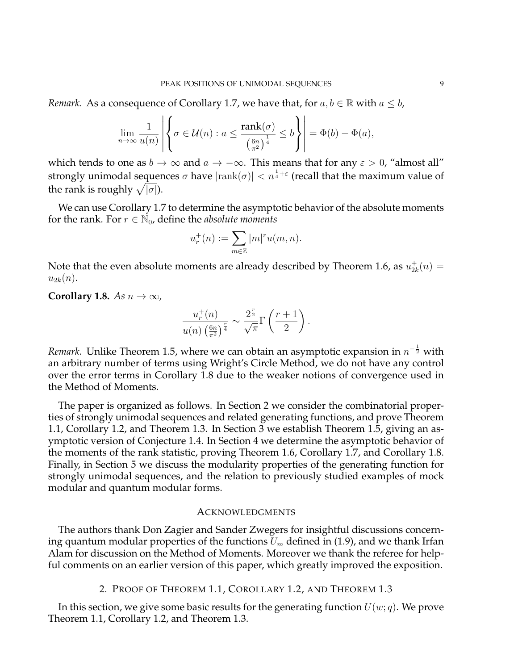*Remark.* As a consequence of Corollary 1.7, we have that, for  $a, b \in \mathbb{R}$  with  $a \leq b$ ,

$$
\lim_{n\to\infty}\frac{1}{u(n)}\left|\left\{\sigma\in\mathcal{U}(n):a\leq\frac{\mathrm{rank}(\sigma)}{\left(\frac{6n}{\pi^2}\right)^{\frac{1}{4}}}\leq b\right\}\right|=\Phi(b)-\Phi(a),
$$

which tends to one as  $b \to \infty$  and  $a \to -\infty$ . This means that for any  $\varepsilon > 0$ , "almost all" strongly unimodal sequences  $\sigma$  have  $|\text{rank}(\sigma)| < n^{\frac{1}{4}+\varepsilon}$  (recall that the maximum value of the rank is roughly  $\sqrt{|\sigma|}$ ).

We can use Corollary 1.7 to determine the asymptotic behavior of the absolute moments for the rank. For  $r \in \mathbb{N}_0$ , define the *absolute moments* 

$$
u_r^+(n):=\sum_{m\in\mathbb{Z}}|m|^ru(m,n).
$$

Note that the even absolute moments are already described by Theorem 1.6, as  $u_{2l}^{\pm}$  $t_{2k}^{+}(n) =$  $u_{2k}(n)$ .

**Corollary 1.8.** *As*  $n \to \infty$ *,* 

$$
\frac{u_r^+(n)}{u(n)\left(\frac{6n}{\pi^2}\right)^{\frac{r}{4}}} \sim \frac{2^{\frac{r}{2}}}{\sqrt{\pi}}\Gamma\left(\frac{r+1}{2}\right).
$$

*Remark*. Unlike Theorem 1.5, where we can obtain an asymptotic expansion in  $n^{-\frac{1}{2}}$  with an arbitrary number of terms using Wright's Circle Method, we do not have any control over the error terms in Corollary 1.8 due to the weaker notions of convergence used in the Method of Moments.

The paper is organized as follows. In Section 2 we consider the combinatorial properties of strongly unimodal sequences and related generating functions, and prove Theorem 1.1, Corollary 1.2, and Theorem 1.3. In Section 3 we establish Theorem 1.5, giving an asymptotic version of Conjecture 1.4. In Section 4 we determine the asymptotic behavior of the moments of the rank statistic, proving Theorem 1.6, Corollary 1.7, and Corollary 1.8. Finally, in Section 5 we discuss the modularity properties of the generating function for strongly unimodal sequences, and the relation to previously studied examples of mock modular and quantum modular forms.

### ACKNOWLEDGMENTS

The authors thank Don Zagier and Sander Zwegers for insightful discussions concerning quantum modular properties of the functions  $U_m$  defined in (1.9), and we thank Irfan Alam for discussion on the Method of Moments. Moreover we thank the referee for helpful comments on an earlier version of this paper, which greatly improved the exposition.

2. PROOF OF THEOREM 1.1, COROLLARY 1.2, AND THEOREM 1.3

In this section, we give some basic results for the generating function  $U(w; q)$ . We prove Theorem 1.1, Corollary 1.2, and Theorem 1.3.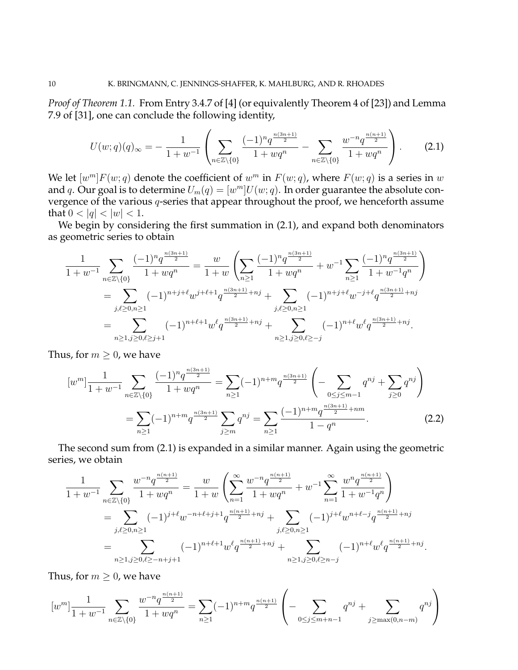*Proof of Theorem 1.1.* From Entry 3.4.7 of [4] (or equivalently Theorem 4 of [23]) and Lemma 7.9 of [31], one can conclude the following identity,

$$
U(w;q)(q)_{\infty} = -\frac{1}{1+w^{-1}} \left( \sum_{n \in \mathbb{Z} \setminus \{0\}} \frac{(-1)^n q^{\frac{n(3n+1)}{2}}}{1+wq^n} - \sum_{n \in \mathbb{Z} \setminus \{0\}} \frac{w^{-n} q^{\frac{n(n+1)}{2}}}{1+wq^n} \right).
$$
 (2.1)

We let  $[w^m]F(w; q)$  denote the coefficient of  $w^m$  in  $F(w; q)$ , where  $F(w; q)$  is a series in  $w$ and q. Our goal is to determine  $U_m(q) = [w^m]U(w; q)$ . In order guarantee the absolute convergence of the various q-series that appear throughout the proof, we henceforth assume that  $0 < |q| < |w| < 1$ .

We begin by considering the first summation in  $(2.1)$ , and expand both denominators as geometric series to obtain

$$
\frac{1}{1+w^{-1}} \sum_{n \in \mathbb{Z} \setminus \{0\}} \frac{(-1)^n q^{\frac{n(3n+1)}{2}}}{1+wq^n} = \frac{w}{1+w} \left( \sum_{n \geq 1} \frac{(-1)^n q^{\frac{n(3n+1)}{2}}}{1+wq^n} + w^{-1} \sum_{n \geq 1} \frac{(-1)^n q^{\frac{n(3n+1)}{2}}}{1+w^{-1}q^n} \right)
$$
\n
$$
= \sum_{j,\ell \geq 0, n \geq 1} (-1)^{n+j+\ell} w^{j+\ell+1} q^{\frac{n(3n+1)}{2}+nj} + \sum_{j,\ell \geq 0, n \geq 1} (-1)^{n+j+\ell} w^{-j+\ell} q^{\frac{n(3n+1)}{2}+nj}
$$
\n
$$
= \sum_{n \geq 1, j \geq 0, \ell \geq j+1} (-1)^{n+\ell+1} w^{\ell} q^{\frac{n(3n+1)}{2}+nj} + \sum_{n \geq 1, j \geq 0, \ell \geq -j} (-1)^{n+\ell} w^{\ell} q^{\frac{n(3n+1)}{2}+nj}.
$$

Thus, for  $m \geq 0$ , we have

$$
[w^m] \frac{1}{1+w^{-1}} \sum_{n \in \mathbb{Z} \setminus \{0\}} \frac{(-1)^n q^{\frac{n(3n+1)}{2}}}{1+wq^n} = \sum_{n \ge 1} (-1)^{n+m} q^{\frac{n(3n+1)}{2}} \left( -\sum_{0 \le j \le m-1} q^{nj} + \sum_{j \ge 0} q^{nj} \right)
$$
  
= 
$$
\sum_{n \ge 1} (-1)^{n+m} q^{\frac{n(3n+1)}{2}} \sum_{j \ge m} q^{nj} = \sum_{n \ge 1} \frac{(-1)^{n+m} q^{\frac{n(3n+1)}{2}+nm}}{1-q^n}.
$$
 (2.2)

The second sum from (2.1) is expanded in a similar manner. Again using the geometric series, we obtain

$$
\frac{1}{1+w^{-1}} \sum_{n \in \mathbb{Z} \setminus \{0\}} \frac{w^{-n} q^{\frac{n(n+1)}{2}}}{1+wq^n} = \frac{w}{1+w} \left( \sum_{n=1}^{\infty} \frac{w^{-n} q^{\frac{n(n+1)}{2}}}{1+wq^n} + w^{-1} \sum_{n=1}^{\infty} \frac{w^n q^{\frac{n(n+1)}{2}}}{1+w^{-1}q^n} \right)
$$
  
= 
$$
\sum_{j,\ell \ge 0, n \ge 1} (-1)^{j+\ell} w^{-n+\ell+j+1} q^{\frac{n(n+1)}{2}+nj} + \sum_{j,\ell \ge 0, n \ge 1} (-1)^{j+\ell} w^{n+\ell-j} q^{\frac{n(n+1)}{2}+nj}
$$
  
= 
$$
\sum_{n \ge 1, j \ge 0, \ell \ge -n+j+1} (-1)^{n+\ell+1} w^{\ell} q^{\frac{n(n+1)}{2}+nj} + \sum_{n \ge 1, j \ge 0, \ell \ge n-j} (-1)^{n+\ell} w^{\ell} q^{\frac{n(n+1)}{2}+nj}.
$$

Thus, for  $m \geq 0$ , we have

$$
[w^m] \frac{1}{1+w^{-1}} \sum_{n \in \mathbb{Z} \setminus \{0\}} \frac{w^{-n} q^{\frac{n(n+1)}{2}}}{1+wq^n} = \sum_{n \ge 1} (-1)^{n+m} q^{\frac{n(n+1)}{2}} \left( - \sum_{0 \le j \le m+n-1} q^{nj} + \sum_{j \ge \max(0, n-m)} q^{nj} \right)
$$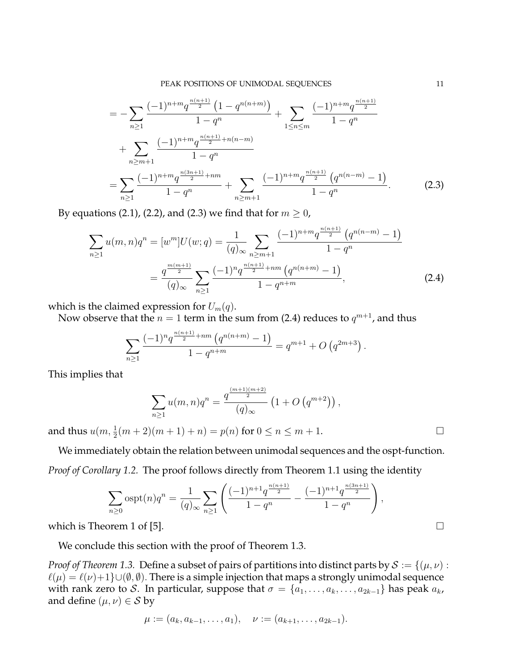$$
= -\sum_{n\geq 1} \frac{(-1)^{n+m} q^{\frac{n(n+1)}{2}} (1-q^{n(n+m)})}{1-q^n} + \sum_{1\leq n\leq m} \frac{(-1)^{n+m} q^{\frac{n(n+1)}{2}}}{1-q^n} + \sum_{n\geq m+1} \frac{(-1)^{n+m} q^{\frac{n(n+1)}{2}+n(n-m)}}{1-q^n} = \sum_{n\geq 1} \frac{(-1)^{n+m} q^{\frac{n(3n+1)}{2}+nm}}{1-q^n} + \sum_{n\geq m+1} \frac{(-1)^{n+m} q^{\frac{n(n+1)}{2}} (q^{n(n-m)}-1)}{1-q^n}.
$$
(2.3)

By equations (2.1), (2.2), and (2.3) we find that for  $m \geq 0$ ,

$$
\sum_{n\geq 1} u(m,n)q^n = [w^m]U(w;q) = \frac{1}{(q)_{\infty}} \sum_{n\geq m+1} \frac{(-1)^{n+m} q^{\frac{n(n+1)}{2}} \left(q^{n(n-m)} - 1\right)}{1 - q^n}
$$

$$
= \frac{q^{\frac{m(m+1)}{2}}}{(q)_{\infty}} \sum_{n\geq 1} \frac{(-1)^n q^{\frac{n(n+1)}{2}+nm} \left(q^{n(n+m)} - 1\right)}{1 - q^{n+m}}, \tag{2.4}
$$

which is the claimed expression for  $U_m(q)$ .

Now observe that the  $n=1$  term in the sum from (2.4) reduces to  $q^{m+1}$ , and thus

$$
\sum_{n\geq 1} \frac{(-1)^n q^{\frac{n(n+1)}{2}+nm} (q^{n(n+m)}-1)}{1-q^{n+m}} = q^{m+1} + O(q^{2m+3}).
$$

This implies that

$$
\sum_{n\geq 1} u(m,n)q^n = \frac{q^{\frac{(m+1)(m+2)}{2}}}{(q)_{\infty}} \left(1 + O\left(q^{m+2}\right)\right),
$$

and thus  $u(m, \frac{1}{2}(m+2)(m+1) + n) = p(n)$  for  $0 \le n \le m+1$ .

We immediately obtain the relation between unimodal sequences and the ospt-function. *Proof of Corollary 1.2.* The proof follows directly from Theorem 1.1 using the identity

$$
\sum_{n\geq 0} \operatorname{ospt}(n) q^n = \frac{1}{(q)_{\infty}} \sum_{n\geq 1} \left( \frac{(-1)^{n+1} q^{\frac{n(n+1)}{2}}}{1 - q^n} - \frac{(-1)^{n+1} q^{\frac{n(3n+1)}{2}}}{1 - q^n} \right),
$$

which is Theorem 1 of [5].  $\Box$ 

We conclude this section with the proof of Theorem 1.3.

*Proof of Theorem 1.3.* Define a subset of pairs of partitions into distinct parts by  $S := \{(\mu, \nu) :$  $\ell(\mu) = \ell(\nu)+1\} \cup (\emptyset, \emptyset)$ . There is a simple injection that maps a strongly unimodal sequence with rank zero to S. In particular, suppose that  $\sigma = \{a_1, \ldots, a_k, \ldots, a_{2k-1}\}\)$  has peak  $a_k$ , and define  $(\mu, \nu) \in S$  by

$$
\mu := (a_k, a_{k-1}, \ldots, a_1), \quad \nu := (a_{k+1}, \ldots, a_{2k-1}).
$$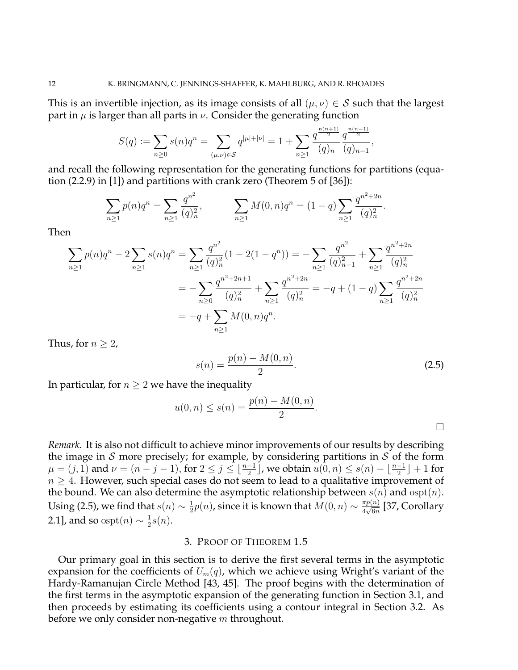This is an invertible injection, as its image consists of all  $(\mu, \nu) \in S$  such that the largest part in  $\mu$  is larger than all parts in  $\nu$ . Consider the generating function

$$
S(q) := \sum_{n\geq 0} s(n)q^n = \sum_{(\mu,\nu)\in\mathcal{S}} q^{|\mu|+|\nu|} = 1 + \sum_{n\geq 1} \frac{q^{\frac{n(n+1)}{2}}}{(q)_n} \frac{q^{\frac{n(n-1)}{2}}}{(q)_{n-1}},
$$

and recall the following representation for the generating functions for partitions (equation (2.2.9) in [1]) and partitions with crank zero (Theorem 5 of [36]):

$$
\sum_{n\geq 1} p(n)q^n = \sum_{n\geq 1} \frac{q^{n^2}}{(q)_n^2}, \qquad \sum_{n\geq 1} M(0,n)q^n = (1-q)\sum_{n\geq 1} \frac{q^{n^2+2n}}{(q)_n^2}.
$$

Then

$$
\sum_{n\geq 1} p(n)q^n - 2\sum_{n\geq 1} s(n)q^n = \sum_{n\geq 1} \frac{q^{n^2}}{(q)_n^2} (1 - 2(1 - q^n)) = -\sum_{n\geq 1} \frac{q^{n^2}}{(q)_{n-1}^2} + \sum_{n\geq 1} \frac{q^{n^2+2n}}{(q)_n^2}
$$
  
= 
$$
-\sum_{n\geq 0} \frac{q^{n^2+2n+1}}{(q)_n^2} + \sum_{n\geq 1} \frac{q^{n^2+2n}}{(q)_n^2} = -q + (1 - q) \sum_{n\geq 1} \frac{q^{n^2+2n}}{(q)_n^2}
$$
  
= 
$$
-q + \sum_{n\geq 1} M(0, n)q^n.
$$

Thus, for  $n \geq 2$ ,

$$
s(n) = \frac{p(n) - M(0, n)}{2}.
$$
\n(2.5)

In particular, for  $n \geq 2$  we have the inequality

$$
u(0, n) \le s(n) = \frac{p(n) - M(0, n)}{2}.
$$

*Remark.* It is also not difficult to achieve minor improvements of our results by describing the image in S more precisely; for example, by considering partitions in S of the form  $\mu = (j, 1)$  and  $\nu = (n - j - 1)$ , for  $2 \le j \le \lfloor \frac{n-1}{2} \rfloor$ , we obtain  $u(0, n) \le s(n) - \lfloor \frac{n-1}{2} \rfloor + 1$  for  $n \geq 4$ . However, such special cases do not seem to lead to a qualitative improvement of the bound. We can also determine the asymptotic relationship between  $s(n)$  and  $\mathrm{ospt}(n)$ . Using (2.5), we find that  $s(n) \sim \frac{1}{2}$  $\frac{1}{2}p(n)$ , since it is known that  $M(0,n) \sim \frac{\pi p(n)}{4 \sqrt{6n}}$  $\frac{\pi p(n)}{4\sqrt{6n}}$  [37, Corollary 2.1], and so  $\mathrm{ospt}(n) \sim \frac{1}{2}$  $\frac{1}{2} s(n)$ .

## 3. PROOF OF THEOREM 1.5

Our primary goal in this section is to derive the first several terms in the asymptotic expansion for the coefficients of  $U_m(q)$ , which we achieve using Wright's variant of the Hardy-Ramanujan Circle Method [43, 45]. The proof begins with the determination of the first terms in the asymptotic expansion of the generating function in Section 3.1, and then proceeds by estimating its coefficients using a contour integral in Section 3.2. As before we only consider non-negative  $m$  throughout.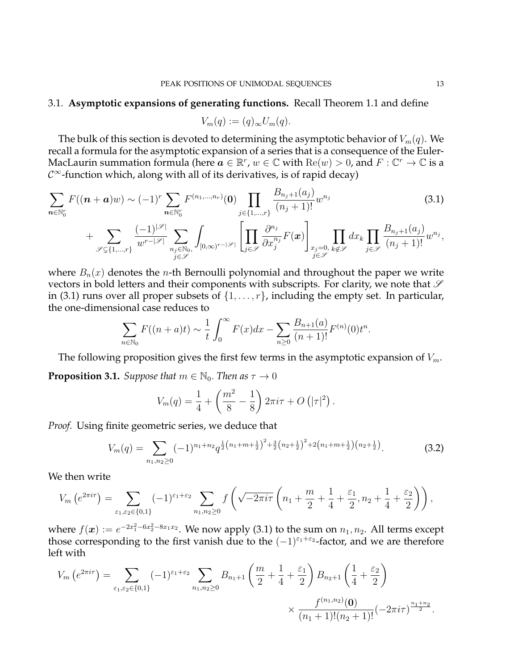#### 3.1. **Asymptotic expansions of generating functions.** Recall Theorem 1.1 and define

$$
V_m(q) := (q)_{\infty} U_m(q).
$$

The bulk of this section is devoted to determining the asymptotic behavior of  $V_m(q)$ . We recall a formula for the asymptotic expansion of a series that is a consequence of the Euler-MacLaurin summation formula (here  $a\in\mathbb{R}^r$ ,  $w\in\mathbb{C}$  with  $\mathrm{Re}(w)>0$ , and  $F:\mathbb{C}^r\to\mathbb{C}$  is a  $\mathcal{C}^{\infty}$ -function which, along with all of its derivatives, is of rapid decay)

$$
\sum_{n \in \mathbb{N}_{0}^{r}} F((n+a)w) \sim (-1)^{r} \sum_{n \in \mathbb{N}_{0}^{r}} F^{(n_{1},...,n_{r})}(0) \prod_{j \in \{1,...,r\}} \frac{B_{n_{j}+1}(a_{j})}{(n_{j}+1)!} w^{n_{j}} + \sum_{\mathscr{S} \subseteq \{1,...,r\}} \frac{(-1)^{|\mathscr{S}|}}{w^{r-|\mathscr{S}|}} \sum_{n_{j} \in \mathbb{N}_{0},} \int_{[0,\infty)^{r-|\mathscr{S}|}} \left[ \prod_{j \in \mathscr{S}} \frac{\partial^{n_{j}}}{\partial x_{j}^{n_{j}}} F(x) \right]_{\substack{x_{j}=0, \\ j \in \mathscr{S}}} \prod_{k \notin \mathscr{S}} dx_{k} \prod_{j \in \mathscr{S}} \frac{B_{n_{j}+1}(a_{j})}{(n_{j}+1)!} w^{n_{j}},
$$
\n(3.1)

where  $B_n(x)$  denotes the *n*-th Bernoulli polynomial and throughout the paper we write vectors in bold letters and their components with subscripts. For clarity, we note that  $\mathscr S$ in (3.1) runs over all proper subsets of  $\{1, \ldots, r\}$ , including the empty set. In particular, the one-dimensional case reduces to

$$
\sum_{n \in \mathbb{N}_0} F((n+a)t) \sim \frac{1}{t} \int_0^\infty F(x) dx - \sum_{n \ge 0} \frac{B_{n+1}(a)}{(n+1)!} F^{(n)}(0) t^n.
$$

The following proposition gives the first few terms in the asymptotic expansion of  $V_m$ . **Proposition 3.1.** *Suppose that*  $m \in \mathbb{N}_0$ *. Then as*  $\tau \to 0$ 

$$
V_m(q) = \frac{1}{4} + \left(\frac{m^2}{8} - \frac{1}{8}\right) 2\pi i \tau + O\left(|\tau|^2\right).
$$

*Proof.* Using finite geometric series, we deduce that

$$
V_m(q) = \sum_{n_1, n_2 \ge 0} (-1)^{n_1 + n_2} q^{\frac{1}{2}(n_1 + m + \frac{1}{2})^2 + \frac{3}{2}(n_2 + \frac{1}{2})^2 + 2(n_1 + m + \frac{1}{2})(n_2 + \frac{1}{2})}.
$$
 (3.2)

We then write

$$
V_m\left(e^{2\pi i\tau}\right) = \sum_{\varepsilon_1,\varepsilon_2\in\{0,1\}} (-1)^{\varepsilon_1+\varepsilon_2} \sum_{n_1,n_2\geq 0} f\left(\sqrt{-2\pi i\tau}\left(n_1+\frac{m}{2}+\frac{1}{4}+\frac{\varepsilon_1}{2},n_2+\frac{1}{4}+\frac{\varepsilon_2}{2}\right)\right),
$$

where  $f(\boldsymbol{x}):=e^{-2x_1^2-6x_2^2-8x_1x_2}.$  We now apply (3.1) to the sum on  $n_1,n_2.$  All terms except those corresponding to the first vanish due to the  $(-1)^{\varepsilon_1+\varepsilon_2}$ -factor, and we are therefore left with

$$
V_m\left(e^{2\pi i\tau}\right) = \sum_{\varepsilon_1,\varepsilon_2\in\{0,1\}} (-1)^{\varepsilon_1+\varepsilon_2} \sum_{n_1,n_2\geq 0} B_{n_1+1}\left(\frac{m}{2}+\frac{1}{4}+\frac{\varepsilon_1}{2}\right) B_{n_2+1}\left(\frac{1}{4}+\frac{\varepsilon_2}{2}\right) \times \frac{f^{(n_1,n_2)}(\mathbf{0})}{(n_1+1)!(n_2+1)!} (-2\pi i\tau)^{\frac{n_1+n_2}{2}}.
$$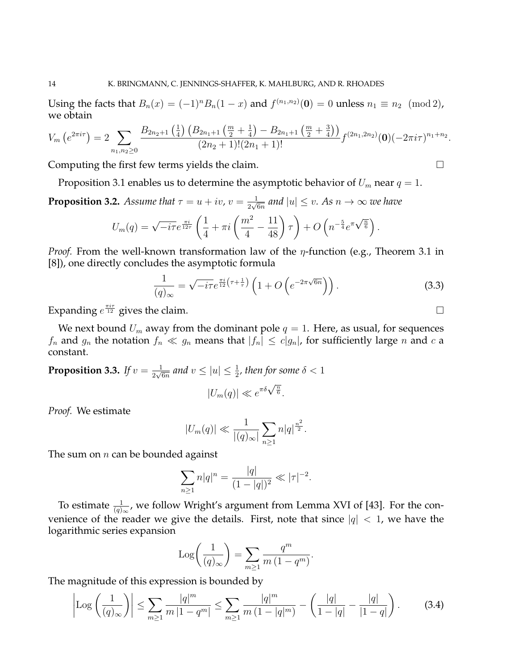Using the facts that  $B_n(x) = (-1)^n B_n(1-x)$  and  $f^{(n_1,n_2)}(0) = 0$  unless  $n_1 \equiv n_2 \pmod{2}$ , we obtain

$$
V_m\left(e^{2\pi i\tau}\right) = 2 \sum_{n_1,n_2 \geq 0} \frac{B_{2n_2+1}\left(\frac{1}{4}\right)\left(B_{2n_1+1}\left(\frac{m}{2}+\frac{1}{4}\right)-B_{2n_1+1}\left(\frac{m}{2}+\frac{3}{4}\right)\right)}{(2n_2+1)!(2n_1+1)!} f^{(2n_1,2n_2)}(0)(-2\pi i\tau)^{n_1+n_2}.
$$

Computing the first few terms yields the claim.

Proposition 3.1 enables us to determine the asymptotic behavior of  $U_m$  near  $q = 1$ .

**Proposition 3.2.** *Assume that*  $\tau = u + iv$ ,  $v = \frac{1}{2\sqrt{2}}$  $\frac{1}{2\sqrt{6n}}$  and  $|u| \leq v.$  As  $n \to \infty$  we have

$$
U_m(q) = \sqrt{-i\tau}e^{\frac{\pi i}{12\tau}} \left(\frac{1}{4} + \pi i \left(\frac{m^2}{4} - \frac{11}{48}\right)\tau\right) + O\left(n^{-\frac{5}{4}}e^{\pi\sqrt{\frac{n}{6}}}\right).
$$

*Proof.* From the well-known transformation law of the  $\eta$ -function (e.g., Theorem 3.1 in [8]), one directly concludes the asymptotic formula

$$
\frac{1}{(q)_{\infty}} = \sqrt{-i\tau}e^{\frac{\pi i}{12}\left(\tau + \frac{1}{\tau}\right)}\left(1 + O\left(e^{-2\pi\sqrt{6n}}\right)\right). \tag{3.3}
$$

Expanding  $e^{\frac{\pi i \tau}{12}}$  gives the claim.

We next bound  $U_m$  away from the dominant pole  $q = 1$ . Here, as usual, for sequences  $f_n$  and  $g_n$  the notation  $f_n \ll g_n$  means that  $|f_n| \le c|g_n|$ , for sufficiently large n and c a constant.

**Proposition 3.3.** *If*  $v = \frac{1}{2\sqrt{2}}$  $\frac{1}{2\sqrt{6n}}$  and  $v\le |u|\le \frac{1}{2}$ , then for some  $\delta < 1$  $\pi \delta \sqrt{\frac{n}{6}}$ 

$$
|U_m(q)| \ll e^{\pi \delta \sqrt{\frac{n}{6}}}.
$$

*Proof.* We estimate

$$
|U_m(q)| \ll \frac{1}{|(q)_{\infty}|} \sum_{n \ge 1} n|q|^{\frac{n^2}{2}}.
$$

The sum on  $n$  can be bounded against

$$
\sum_{n\geq 1} n|q|^n = \frac{|q|}{(1-|q|)^2} \ll |\tau|^{-2}.
$$

To estimate  $\frac{1}{(q)_{\infty}}$ , we follow Wright's argument from Lemma XVI of [43]. For the convenience of the reader we give the details. First, note that since  $|q| < 1$ , we have the logarithmic series expansion

$$
Log\left(\frac{1}{(q)_{\infty}}\right) = \sum_{m \geq 1} \frac{q^m}{m(1 - q^m)}.
$$

The magnitude of this expression is bounded by

$$
\left|\mathrm{Log}\left(\frac{1}{(q)_{\infty}}\right)\right| \le \sum_{m\ge 1} \frac{|q|^m}{m\,|1-q^m|} \le \sum_{m\ge 1} \frac{|q|^m}{m\,(1-|q|^m)} - \left(\frac{|q|}{1-|q|} - \frac{|q|}{|1-q|}\right). \tag{3.4}
$$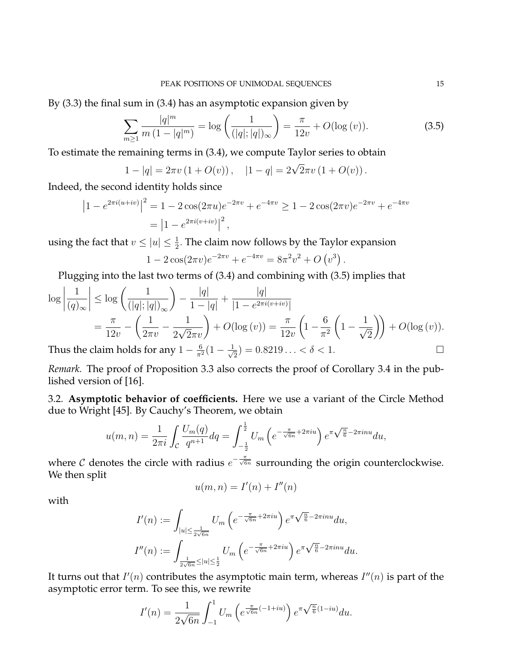By (3.3) the final sum in (3.4) has an asymptotic expansion given by

$$
\sum_{m\geq 1} \frac{|q|^m}{m\left(1-|q|^m\right)} = \log\left(\frac{1}{(|q|;|q|)_{\infty}}\right) = \frac{\pi}{12v} + O(\log(v)).\tag{3.5}
$$

.

To estimate the remaining terms in (3.4), we compute Taylor series to obtain

$$
1 - |q| = 2\pi v (1 + O(v)), \quad |1 - q| = 2\sqrt{2}\pi v (1 + O(v)).
$$

Indeed, the second identity holds since

$$
\left|1 - e^{2\pi i(u+iv)}\right|^2 = 1 - 2\cos(2\pi u)e^{-2\pi v} + e^{-4\pi v} \ge 1 - 2\cos(2\pi v)e^{-2\pi v} + e^{-4\pi v}
$$

$$
= \left|1 - e^{2\pi i(v+iv)}\right|^2,
$$

using the fact that  $v \le |u| \le \frac{1}{2}$ . The claim now follows by the Taylor expansion

$$
1 - 2\cos(2\pi v)e^{-2\pi v} + e^{-4\pi v} = 8\pi^2 v^2 + O(v^3)
$$

Plugging into the last two terms of (3.4) and combining with (3.5) implies that

$$
\log \left| \frac{1}{(q)_{\infty}} \right| \le \log \left( \frac{1}{(|q|; |q|)_{\infty}} \right) - \frac{|q|}{1 - |q|} + \frac{|q|}{|1 - e^{2\pi i (v + iv)}}
$$

$$
= \frac{\pi}{12v} - \left( \frac{1}{2\pi v} - \frac{1}{2\sqrt{2\pi v}} \right) + O(\log(v)) = \frac{\pi}{12v} \left( 1 - \frac{6}{\pi^2} \left( 1 - \frac{1}{\sqrt{2}} \right) \right) + O(\log(v)).
$$

Thus the claim holds for any  $1 - \frac{6}{\pi^2} (1 - \frac{1}{\sqrt{2}})$  $\overline{z}_2$ ) = 0.8219... <  $\delta$  < 1.

*Remark.* The proof of Proposition 3.3 also corrects the proof of Corollary 3.4 in the published version of [16].

3.2. **Asymptotic behavior of coefficients.** Here we use a variant of the Circle Method due to Wright [45]. By Cauchy's Theorem, we obtain

$$
u(m,n) = \frac{1}{2\pi i} \int_{\mathcal{C}} \frac{U_m(q)}{q^{n+1}} dq = \int_{-\frac{1}{2}}^{\frac{1}{2}} U_m\left(e^{-\frac{\pi}{\sqrt{6n}} + 2\pi i u}\right) e^{\pi \sqrt{\frac{n}{6}} - 2\pi i n u} du,
$$

where C denotes the circle with radius  $e^{-\frac{\pi}{\sqrt{6n}}}$  surrounding the origin counterclockwise. We then split

$$
u(m, n) = I'(n) + I''(n)
$$

with

$$
I'(n) := \int_{|u| \le \frac{1}{2\sqrt{6n}}} U_m\left(e^{-\frac{\pi}{\sqrt{6n}} + 2\pi iu}\right) e^{\pi \sqrt{\frac{n}{6}} - 2\pi i n u} du,
$$
  

$$
I''(n) := \int_{\frac{1}{2\sqrt{6n}} \le |u| \le \frac{1}{2}} U_m\left(e^{-\frac{\pi}{\sqrt{6n}} + 2\pi i u}\right) e^{\pi \sqrt{\frac{n}{6}} - 2\pi i n u} du.
$$

It turns out that  $I'(n)$  contributes the asymptotic main term, whereas  $I''(n)$  is part of the asymptotic error term. To see this, we rewrite

$$
I'(n) = \frac{1}{2\sqrt{6n}} \int_{-1}^{1} U_m\left(e^{\frac{\pi}{\sqrt{6n}}(-1+iu)}\right) e^{\pi \sqrt{\frac{n}{6}}(1-iu)} du.
$$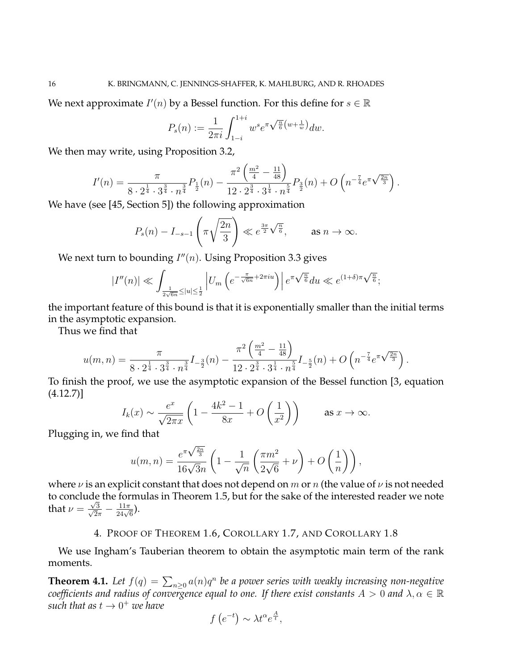We next approximate  $I'(n)$  by a Bessel function. For this define for  $s \in \mathbb{R}$ 

$$
P_s(n) := \frac{1}{2\pi i} \int_{1-i}^{1+i} w^s e^{\pi \sqrt{\frac{n}{6}} \left(w + \frac{1}{w}\right)} dw.
$$

We then may write, using Proposition 3.2,

$$
I'(n) = \frac{\pi}{8 \cdot 2^{\frac{1}{4}} \cdot 3^{\frac{3}{4}} \cdot n^{\frac{3}{4}}}\n P_{\frac{1}{2}}(n) - \frac{\pi^2 \left(\frac{m^2}{4} - \frac{11}{48}\right)}{12 \cdot 2^{\frac{3}{4}} \cdot 3^{\frac{1}{4}} \cdot n^{\frac{5}{4}}} P_{\frac{3}{2}}(n) + O\left(n^{-\frac{7}{4}} e^{\pi \sqrt{\frac{2n}{3}}}\right).
$$

We have (see [45, Section 5]) the following approximation

$$
P_s(n) - I_{-s-1}\left(\pi\sqrt{\frac{2n}{3}}\right) \ll e^{\frac{3\pi}{2}\sqrt{\frac{n}{6}}}, \quad \text{as } n \to \infty.
$$

We next turn to bounding  $I''(n)$ . Using Proposition 3.3 gives

$$
|I''(n)| \ll \int_{\frac{1}{2\sqrt{6n}} \le |u| \le \frac{1}{2}} \left| U_m \left( e^{-\frac{\pi}{\sqrt{6n}} + 2\pi i u} \right) \right| e^{\pi \sqrt{\frac{n}{6}}} du \ll e^{(1+\delta)\pi \sqrt{\frac{n}{6}}};
$$

the important feature of this bound is that it is exponentially smaller than the initial terms in the asymptotic expansion.

Thus we find that

$$
u(m,n) = \frac{\pi}{8 \cdot 2^{\frac{1}{4}} \cdot 3^{\frac{3}{4}} \cdot n^{\frac{3}{4}}} I_{-\frac{3}{2}}(n) - \frac{\pi^2 \left(\frac{m^2}{4} - \frac{11}{48}\right)}{12 \cdot 2^{\frac{3}{4}} \cdot 3^{\frac{1}{4}} \cdot n^{\frac{5}{4}}} I_{-\frac{5}{2}}(n) + O\left(n^{-\frac{7}{4}} e^{\pi \sqrt{\frac{2n}{3}}}\right).
$$

To finish the proof, we use the asymptotic expansion of the Bessel function [3, equation (4.12.7)]

$$
I_k(x) \sim \frac{e^x}{\sqrt{2\pi x}} \left( 1 - \frac{4k^2 - 1}{8x} + O\left(\frac{1}{x^2}\right) \right) \qquad \text{as } x \to \infty.
$$

Plugging in, we find that

$$
u(m,n) = \frac{e^{\pi\sqrt{\frac{2n}{3}}}}{16\sqrt{3n}} \left(1 - \frac{1}{\sqrt{n}}\left(\frac{\pi m^2}{2\sqrt{6}} + \nu\right) + O\left(\frac{1}{n}\right)\right),
$$

where  $\nu$  is an explicit constant that does not depend on m or n (the value of  $\nu$  is not needed to conclude the formulas in Theorem 1.5, but for the sake of the interested reader we note that  $\nu = \frac{\sqrt{3}}{\sqrt{2}}$  $\frac{\sqrt{3}}{2\pi}-\frac{11\pi}{24\sqrt{6}}$ ).

# 4. PROOF OF THEOREM 1.6, COROLLARY 1.7, AND COROLLARY 1.8

We use Ingham's Tauberian theorem to obtain the asymptotic main term of the rank moments.

**Theorem 4.1.** Let  $f(q) = \sum_{n\geq 0} a(n)q^n$  be a power series with weakly increasing non-negative *coefficients and radius of convergence equal to one. If there exist constants*  $A > 0$  *and*  $\lambda, \alpha \in \mathbb{R}$ such that as  $t \to 0^+$  we have

$$
f(e^{-t}) \sim \lambda t^{\alpha} e^{\frac{A}{t}},
$$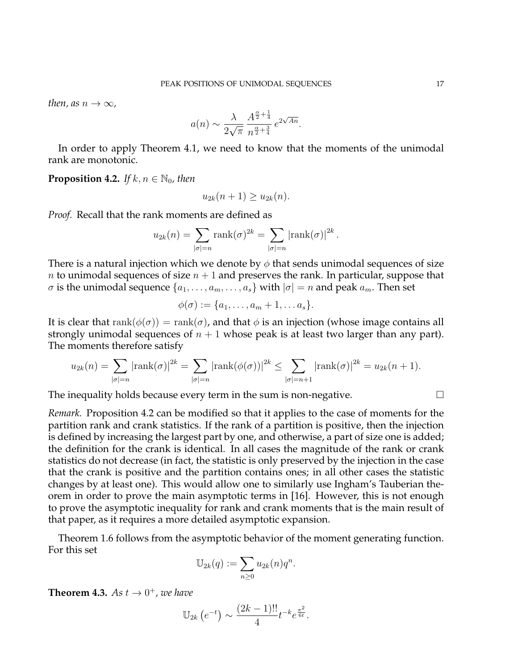*then, as*  $n \to \infty$ *,* 

$$
a(n) \sim \frac{\lambda}{2\sqrt{\pi}} \frac{A^{\frac{\alpha}{2} + \frac{1}{4}}}{n^{\frac{\alpha}{2} + \frac{3}{4}}} e^{2\sqrt{An}}.
$$

In order to apply Theorem 4.1, we need to know that the moments of the unimodal rank are monotonic.

**Proposition 4.2.** *If*  $k, n \in \mathbb{N}_0$ , then

$$
u_{2k}(n+1) \ge u_{2k}(n).
$$

*Proof.* Recall that the rank moments are defined as

$$
u_{2k}(n) = \sum_{|\sigma|=n} \text{rank}(\sigma)^{2k} = \sum_{|\sigma|=n} |\text{rank}(\sigma)|^{2k}.
$$

There is a natural injection which we denote by  $\phi$  that sends unimodal sequences of size n to unimodal sequences of size  $n + 1$  and preserves the rank. In particular, suppose that  $\sigma$  is the unimodal sequence  $\{a_1, \ldots, a_m, \ldots, a_s\}$  with  $|\sigma|=n$  and peak  $a_m$ . Then set

$$
\phi(\sigma) := \{a_1, \ldots, a_m + 1, \ldots a_s\}.
$$

It is clear that  $rank(\phi(\sigma)) = rank(\sigma)$ , and that  $\phi$  is an injection (whose image contains all strongly unimodal sequences of  $n + 1$  whose peak is at least two larger than any part). The moments therefore satisfy

$$
u_{2k}(n) = \sum_{|\sigma|=n} |\text{rank}(\sigma)|^{2k} = \sum_{|\sigma|=n} |\text{rank}(\phi(\sigma))|^{2k} \le \sum_{|\sigma|=n+1} |\text{rank}(\sigma)|^{2k} = u_{2k}(n+1).
$$

The inequality holds because every term in the sum is non-negative.  $\Box$ 

*Remark.* Proposition 4.2 can be modified so that it applies to the case of moments for the partition rank and crank statistics. If the rank of a partition is positive, then the injection is defined by increasing the largest part by one, and otherwise, a part of size one is added; the definition for the crank is identical. In all cases the magnitude of the rank or crank statistics do not decrease (in fact, the statistic is only preserved by the injection in the case that the crank is positive and the partition contains ones; in all other cases the statistic changes by at least one). This would allow one to similarly use Ingham's Tauberian theorem in order to prove the main asymptotic terms in [16]. However, this is not enough to prove the asymptotic inequality for rank and crank moments that is the main result of that paper, as it requires a more detailed asymptotic expansion.

Theorem 1.6 follows from the asymptotic behavior of the moment generating function. For this set

$$
\mathbb{U}_{2k}(q) := \sum_{n\geq 0} u_{2k}(n)q^n.
$$

**Theorem 4.3.** As  $t \to 0^+$ , we have

$$
\mathbb{U}_{2k}\left(e^{-t}\right) \sim \frac{(2k-1)!!}{4} t^{-k} e^{\frac{\pi^2}{6t}}.
$$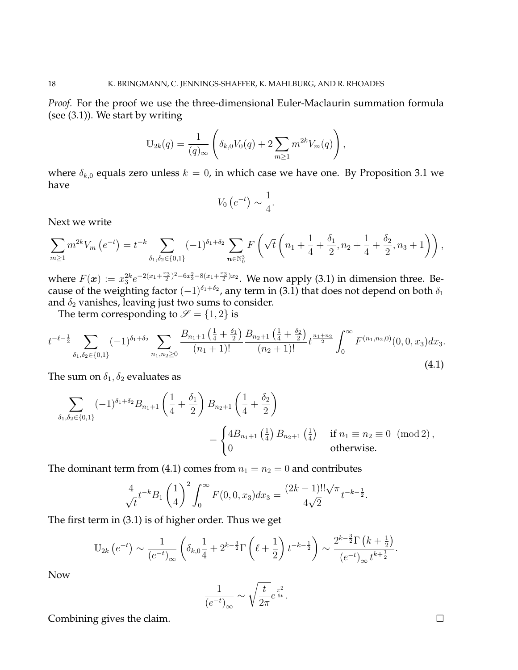*Proof.* For the proof we use the three-dimensional Euler-Maclaurin summation formula (see (3.1)). We start by writing

$$
\mathbb{U}_{2k}(q) = \frac{1}{(q)_{\infty}} \left( \delta_{k,0} V_0(q) + 2 \sum_{m \ge 1} m^{2k} V_m(q) \right),
$$

where  $\delta_{k,0}$  equals zero unless  $k = 0$ , in which case we have one. By Proposition 3.1 we have

$$
V_0\left(e^{-t}\right) \sim \frac{1}{4}.
$$

Next we write

$$
\sum_{m\geq 1} m^{2k} V_m\left(e^{-t}\right) = t^{-k} \sum_{\delta_1,\delta_2\in\{0,1\}} (-1)^{\delta_1+\delta_2} \sum_{n\in\mathbb{N}_0^3} F\left(\sqrt{t}\left(n_1+\frac{1}{4}+\frac{\delta_1}{2},n_2+\frac{1}{4}+\frac{\delta_2}{2},n_3+1\right)\right),
$$

where  $F(\bm{x}) := x_3^{2k} e^{-2(x_1 + \frac{x_3}{2})^2 - 6x_2^2 - 8(x_1 + \frac{x_3}{2})x_2}$ . We now apply (3.1) in dimension three. Because of the weighting factor  $(-1)^{\delta_1+\delta_2}$ , any term in (3.1) that does not depend on both  $\delta_1$ and  $\delta_2$  vanishes, leaving just two sums to consider.

The term corresponding to  $\mathscr{S} = \{1, 2\}$  is

$$
t^{-\ell-\frac{1}{2}}\sum_{\delta_1,\delta_2\in\{0,1\}}(-1)^{\delta_1+\delta_2}\sum_{n_1,n_2\geq 0}\frac{B_{n_1+1}\left(\frac{1}{4}+\frac{\delta_1}{2}\right)}{(n_1+1)!}\frac{B_{n_2+1}\left(\frac{1}{4}+\frac{\delta_2}{2}\right)}{(n_2+1)!}t^{\frac{n_1+n_2}{2}}\int_0^\infty F^{(n_1,n_2,0)}(0,0,x_3)dx_3.
$$
\n(4.1)

The sum on  $\delta_1, \delta_2$  evaluates as

$$
\sum_{\delta_1, \delta_2 \in \{0,1\}} (-1)^{\delta_1 + \delta_2} B_{n_1 + 1} \left( \frac{1}{4} + \frac{\delta_1}{2} \right) B_{n_2 + 1} \left( \frac{1}{4} + \frac{\delta_2}{2} \right)
$$
\n
$$
= \begin{cases} 4B_{n_1 + 1} \left( \frac{1}{4} \right) B_{n_2 + 1} \left( \frac{1}{4} \right) & \text{if } n_1 \equiv n_2 \equiv 0 \pmod{2}, \\ 0 & \text{otherwise.} \end{cases}
$$

The dominant term from (4.1) comes from  $n_1 = n_2 = 0$  and contributes

$$
\frac{4}{\sqrt{t}}t^{-k}B_1\left(\frac{1}{4}\right)^2\int_0^\infty F(0,0,x_3)dx_3 = \frac{(2k-1)!!\sqrt{\pi}}{4\sqrt{2}}t^{-k-\frac{1}{2}}.
$$

The first term in (3.1) is of higher order. Thus we get

$$
\mathbb{U}_{2k}\left(e^{-t}\right) \sim \frac{1}{\left(e^{-t}\right)_{\infty}}\left(\delta_{k,0}\frac{1}{4} + 2^{k-\frac{3}{2}}\Gamma\left(\ell + \frac{1}{2}\right)t^{-k-\frac{1}{2}}\right) \sim \frac{2^{k-\frac{3}{2}}\Gamma\left(k+\frac{1}{2}\right)}{\left(e^{-t}\right)_{\infty}t^{k+\frac{1}{2}}}.
$$

Now

$$
\frac{1}{\left(e^{-t}\right)_\infty}\sim \sqrt{\frac{t}{2\pi}}e^{\frac{\pi^2}{6t}}.
$$

Combining gives the claim.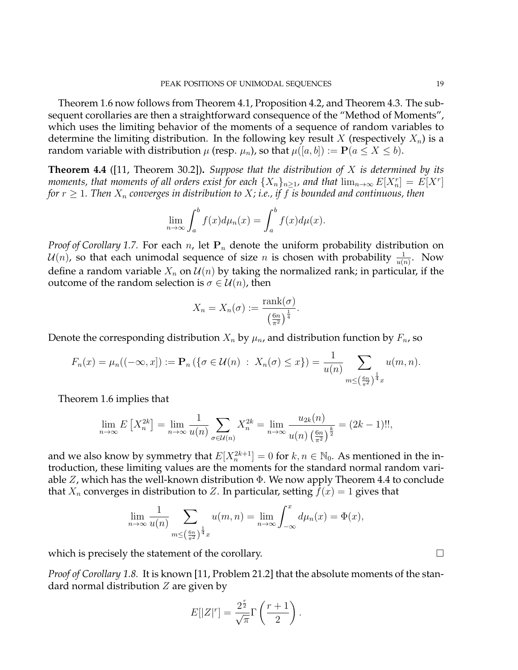Theorem 1.6 now follows from Theorem 4.1, Proposition 4.2, and Theorem 4.3. The subsequent corollaries are then a straightforward consequence of the "Method of Moments", which uses the limiting behavior of the moments of a sequence of random variables to determine the limiting distribution. In the following key result X (respectively  $X_n$ ) is a random variable with distribution  $\mu$  (resp.  $\mu_n$ ), so that  $\mu([a, b]) := \mathbf{P}(a \leq X \leq b)$ .

**Theorem 4.4** ([11, Theorem 30.2])**.** *Suppose that the distribution of* X *is determined by its moments, that moments of all orders exist for each*  $\{X_n\}_{n\geq 1}$ *, and that*  $\lim_{n\to\infty}E[X_n^r]=E[X^r]$ *for*  $r \geq 1$ *. Then*  $X_n$  *converges in distribution to*  $X$ *; i.e., if*  $f$  *is bounded and continuous, then* 

$$
\lim_{n \to \infty} \int_a^b f(x) d\mu_n(x) = \int_a^b f(x) d\mu(x).
$$

*Proof of Corollary 1.7.* For each  $n$ , let  $P_n$  denote the uniform probability distribution on  $\mathcal{U}(n)$ , so that each unimodal sequence of size  $n$  is chosen with probability  $\frac{1}{u(n)}$ . Now define a random variable  $X_n$  on  $\mathcal{U}(n)$  by taking the normalized rank; in particular, if the outcome of the random selection is  $\sigma \in \mathcal{U}(n)$ , then

$$
X_n = X_n(\sigma) := \frac{\text{rank}(\sigma)}{\left(\frac{6n}{\pi^2}\right)^{\frac{1}{4}}}.
$$

Denote the corresponding distribution  $X_n$  by  $\mu_n$ , and distribution function by  $F_n$ , so

$$
F_n(x) = \mu_n((-\infty, x]) := \mathbf{P}_n(\{\sigma \in \mathcal{U}(n) : X_n(\sigma) \le x\}) = \frac{1}{u(n)} \sum_{m \le (\frac{6n}{\pi^2})^{\frac{1}{4}}x} u(m, n).
$$

Theorem 1.6 implies that

$$
\lim_{n \to \infty} E\left[X_n^{2k}\right] = \lim_{n \to \infty} \frac{1}{u(n)} \sum_{\sigma \in \mathcal{U}(n)} X_n^{2k} = \lim_{n \to \infty} \frac{u_{2k}(n)}{u(n) \left(\frac{6n}{\pi^2}\right)^{\frac{k}{2}}} = (2k - 1)!!
$$

and we also know by symmetry that  $E[X_n^{2k+1}] = 0$  for  $k, n \in \mathbb{N}_0$ . As mentioned in the introduction, these limiting values are the moments for the standard normal random variable Z, which has the well-known distribution  $\Phi$ . We now apply Theorem 4.4 to conclude that  $X_n$  converges in distribution to Z. In particular, setting  $f(x) = 1$  gives that

$$
\lim_{n \to \infty} \frac{1}{u(n)} \sum_{m \le (\frac{6n}{\pi^2})^{\frac{1}{4}} x} u(m,n) = \lim_{n \to \infty} \int_{-\infty}^x d\mu_n(x) = \Phi(x),
$$

which is precisely the statement of the corollary.  $\Box$ 

*Proof of Corollary 1.8.* It is known [11, Problem 21.2] that the absolute moments of the standard normal distribution  $Z$  are given by

$$
E[|Z|^r] = \frac{2^{\frac{r}{2}}}{\sqrt{\pi}} \Gamma\left(\frac{r+1}{2}\right).
$$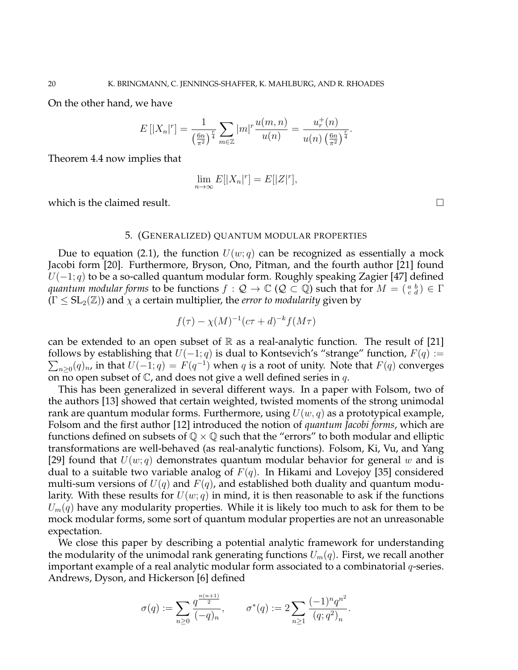On the other hand, we have

$$
E[|X_n|^r] = \frac{1}{(\frac{6n}{\pi^2})^{\frac{r}{4}}} \sum_{m \in \mathbb{Z}} |m|^r \frac{u(m,n)}{u(n)} = \frac{u_r^+(n)}{u(n) (\frac{6n}{\pi^2})^{\frac{r}{4}}}.
$$

Theorem 4.4 now implies that

$$
\lim_{n \to \infty} E[|X_n|^r] = E[|Z|^r],
$$

which is the claimed result.  $\square$ 

### 5. (GENERALIZED) QUANTUM MODULAR PROPERTIES

Due to equation (2.1), the function  $U(w; q)$  can be recognized as essentially a mock Jacobi form [20]. Furthermore, Bryson, Ono, Pitman, and the fourth author [21] found  $U(-1; q)$  to be a so-called quantum modular form. Roughly speaking Zagier [47] defined *quantum modular forms* to be functions  $f:Q\to\mathbb{C}$   $(Q\subset\mathbb{Q})$  such that for  $M=(\begin{smallmatrix}a&b\c&d\end{smallmatrix})\in\Gamma$  $(\Gamma \leq SL_2(\mathbb{Z}))$  and  $\chi$  a certain multiplier, the *error to modularity* given by

$$
f(\tau) - \chi(M)^{-1}(c\tau + d)^{-k} f(M\tau)
$$

can be extended to an open subset of  $\mathbb R$  as a real-analytic function. The result of [21] follows by establishing that  $U(-1; q)$  is dual to Kontsevich's "strange" function,  $F(q) :=$  $\sum_{n\geq 0} (q)_n$ , in that  $U(-1; q) = F(q^{-1})$  when q is a root of unity. Note that  $F(q)$  converges on no open subset of  $\mathbb C$ , and does not give a well defined series in q.

This has been generalized in several different ways. In a paper with Folsom, two of the authors [13] showed that certain weighted, twisted moments of the strong unimodal rank are quantum modular forms. Furthermore, using  $U(w, q)$  as a prototypical example, Folsom and the first author [12] introduced the notion of *quantum Jacobi forms*, which are functions defined on subsets of  $\mathbb{Q} \times \mathbb{Q}$  such that the "errors" to both modular and elliptic transformations are well-behaved (as real-analytic functions). Folsom, Ki, Vu, and Yang [29] found that  $U(w; q)$  demonstrates quantum modular behavior for general w and is dual to a suitable two variable analog of  $F(q)$ . In Hikami and Lovejoy [35] considered multi-sum versions of  $U(q)$  and  $F(q)$ , and established both duality and quantum modularity. With these results for  $U(w; q)$  in mind, it is then reasonable to ask if the functions  $U_m(q)$  have any modularity properties. While it is likely too much to ask for them to be mock modular forms, some sort of quantum modular properties are not an unreasonable expectation.

We close this paper by describing a potential analytic framework for understanding the modularity of the unimodal rank generating functions  $U_m(q)$ . First, we recall another important example of a real analytic modular form associated to a combinatorial  $q$ -series. Andrews, Dyson, and Hickerson [6] defined

$$
\sigma(q) := \sum_{n\geq 0} \frac{q^{\frac{n(n+1)}{2}}}{(-q)_n}, \qquad \sigma^*(q) := 2 \sum_{n\geq 1} \frac{(-1)^n q^{n^2}}{(q;q^2)_n}.
$$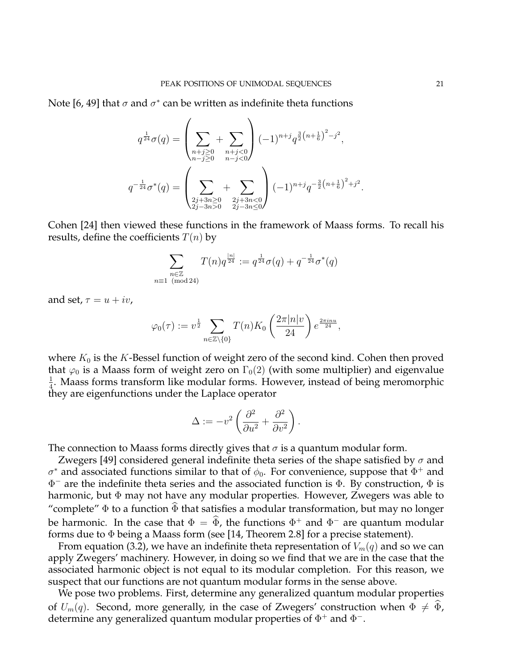Note [6, 49] that  $\sigma$  and  $\sigma^*$  can be written as indefinite theta functions

 $\overline{ }$ 

$$
q^{\frac{1}{24}}\sigma(q) = \left(\sum_{\substack{n+j \geq 0 \\ n-j \geq 0}} + \sum_{\substack{n+j < 0 \\ n-j < 0}} \right) (-1)^{n+j} q^{\frac{3}{2} \left(n + \frac{1}{6}\right)^2 - j^2},
$$
\n
$$
q^{-\frac{1}{24}}\sigma^*(q) = \left(\sum_{\substack{2j+3n \geq 0 \\ 2j-3n > 0}} + \sum_{\substack{2j+3n < 0 \\ 2j-3n \leq 0}} \right) (-1)^{n+j} q^{-\frac{3}{2} \left(n + \frac{1}{6}\right)^2 + j^2}
$$

Cohen [24] then viewed these functions in the framework of Maass forms. To recall his results, define the coefficients  $T(n)$  by

$$
\sum_{\substack{n \in \mathbb{Z} \\ n \equiv 1 \pmod{24}}} T(n) q^{\frac{|n|}{24}} := q^{\frac{1}{24}} \sigma(q) + q^{-\frac{1}{24}} \sigma^*(q)
$$

and set,  $\tau = u + iv$ ,

$$
\varphi_0(\tau) := v^{\frac{1}{2}} \sum_{n \in \mathbb{Z} \setminus \{0\}} T(n) K_0 \left( \frac{2\pi |n| v}{24} \right) e^{\frac{2\pi i n u}{24}},
$$

where  $K_0$  is the K-Bessel function of weight zero of the second kind. Cohen then proved that  $\varphi_0$  is a Maass form of weight zero on  $\Gamma_0(2)$  (with some multiplier) and eigenvalue 1  $\frac{1}{4}$ . Maass forms transform like modular forms. However, instead of being meromorphic they are eigenfunctions under the Laplace operator

$$
\Delta := -v^2 \left( \frac{\partial^2}{\partial u^2} + \frac{\partial^2}{\partial v^2} \right).
$$

The connection to Maass forms directly gives that  $\sigma$  is a quantum modular form.

Zwegers [49] considered general indefinite theta series of the shape satisfied by  $\sigma$  and  $\sigma^*$  and associated functions similar to that of  $\phi_0$ . For convenience, suppose that  $\Phi^+$  and  $\Phi^-$  are the indefinite theta series and the associated function is  $\Phi$ . By construction,  $\Phi$  is harmonic, but Φ may not have any modular properties. However, Zwegers was able to "complete"  $\Phi$  to a function  $\widehat{\Phi}$  that satisfies a modular transformation, but may no longer be harmonic. In the case that  $\Phi = \widehat{\Phi}$ , the functions  $\Phi^+$  and  $\Phi^-$  are quantum modular forms due to  $\Phi$  being a Maass form (see [14, Theorem 2.8] for a precise statement).

From equation (3.2), we have an indefinite theta representation of  $V_m(q)$  and so we can apply Zwegers' machinery. However, in doing so we find that we are in the case that the associated harmonic object is not equal to its modular completion. For this reason, we suspect that our functions are not quantum modular forms in the sense above.

We pose two problems. First, determine any generalized quantum modular properties of  $U_m(q)$ . Second, more generally, in the case of Zwegers' construction when  $\Phi \neq \tilde{\Phi}$ , determine any generalized quantum modular properties of  $\Phi^+$  and  $\Phi^-$ .

.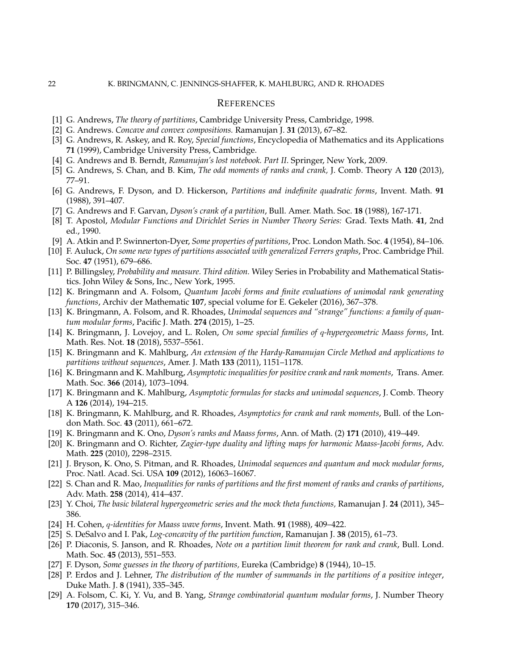#### **REFERENCES**

- [1] G. Andrews, *The theory of partitions*, Cambridge University Press, Cambridge, 1998.
- [2] G. Andrews. *Concave and convex compositions.* Ramanujan J. **31** (2013), 67–82.
- [3] G. Andrews, R. Askey, and R. Roy, *Special functions*, Encyclopedia of Mathematics and its Applications **71** (1999), Cambridge University Press, Cambridge.
- [4] G. Andrews and B. Berndt, *Ramanujan's lost notebook. Part II*. Springer, New York, 2009.
- [5] G. Andrews, S. Chan, and B. Kim, *The odd moments of ranks and crank,* J. Comb. Theory A **120** (2013), 77–91.
- [6] G. Andrews, F. Dyson, and D. Hickerson, *Partitions and indefinite quadratic forms*, Invent. Math. **91** (1988), 391–407.
- [7] G. Andrews and F. Garvan, *Dyson's crank of a partition*, Bull. Amer. Math. Soc. **18** (1988), 167-171.
- [8] T. Apostol, *Modular Functions and Dirichlet Series in Number Theory Series:* Grad. Texts Math. **41**, 2nd ed., 1990.
- [9] A. Atkin and P. Swinnerton-Dyer, *Some properties of partitions*, Proc. London Math. Soc. **4** (1954), 84–106.
- [10] F. Auluck, *On some new types of partitions associated with generalized Ferrers graphs*, Proc. Cambridge Phil. Soc. **47** (1951), 679–686.
- [11] P. Billingsley, *Probability and measure. Third edition.* Wiley Series in Probability and Mathematical Statistics. John Wiley & Sons, Inc., New York, 1995.
- [12] K. Bringmann and A. Folsom, *Quantum Jacobi forms and finite evaluations of unimodal rank generating functions*, Archiv der Mathematic **107**, special volume for E. Gekeler (2016), 367–378.
- [13] K. Bringmann, A. Folsom, and R. Rhoades, *Unimodal sequences and "strange" functions: a family of quantum modular forms*, Pacific J. Math. **274** (2015), 1–25.
- [14] K. Bringmann, J. Lovejoy, and L. Rolen, *On some special families of* q*-hypergeometric Maass forms*, Int. Math. Res. Not. **18** (2018), 5537–5561.
- [15] K. Bringmann and K. Mahlburg, *An extension of the Hardy-Ramanujan Circle Method and applications to partitions without sequences*, Amer. J. Math **133** (2011), 1151–1178.
- [16] K. Bringmann and K. Mahlburg, *Asymptotic inequalities for positive crank and rank moments*, Trans. Amer. Math. Soc. **366** (2014), 1073–1094.
- [17] K. Bringmann and K. Mahlburg, *Asymptotic formulas for stacks and unimodal sequences*, J. Comb. Theory A **126** (2014), 194–215.
- [18] K. Bringmann, K. Mahlburg, and R. Rhoades, *Asymptotics for crank and rank moments*, Bull. of the London Math. Soc. **43** (2011), 661–672.
- [19] K. Bringmann and K. Ono, *Dyson's ranks and Maass forms*, Ann. of Math. (2) **171** (2010), 419–449.
- [20] K. Bringmann and O. Richter, *Zagier-type duality and lifting maps for harmonic Maass-Jacobi forms*, Adv. Math. **225** (2010), 2298–2315.
- [21] J. Bryson, K. Ono, S. Pitman, and R. Rhoades, *Unimodal sequences and quantum and mock modular forms*, Proc. Natl. Acad. Sci. USA **109** (2012), 16063–16067.
- [22] S. Chan and R. Mao, *Inequalities for ranks of partitions and the first moment of ranks and cranks of partitions*, Adv. Math. **258** (2014), 414–437.
- [23] Y. Choi, *The basic bilateral hypergeometric series and the mock theta functions,* Ramanujan J. **24** (2011), 345– 386.
- [24] H. Cohen, q*-identities for Maass wave forms*, Invent. Math. **91** (1988), 409–422.
- [25] S. DeSalvo and I. Pak, *Log-concavity of the partition function*, Ramanujan J. **38** (2015), 61–73.
- [26] P. Diaconis, S. Janson, and R. Rhoades, *Note on a partition limit theorem for rank and crank*, Bull. Lond. Math. Soc. **45** (2013), 551–553.
- [27] F. Dyson, *Some guesses in the theory of partitions,* Eureka (Cambridge) **8** (1944), 10–15.
- [28] P. Erdos and J. Lehner, *The distribution of the number of summands in the partitions of a positive integer*, Duke Math. J. **8** (1941), 335–345.
- [29] A. Folsom, C. Ki, Y. Vu, and B. Yang, *Strange combinatorial quantum modular forms*, J. Number Theory **170** (2017), 315–346.